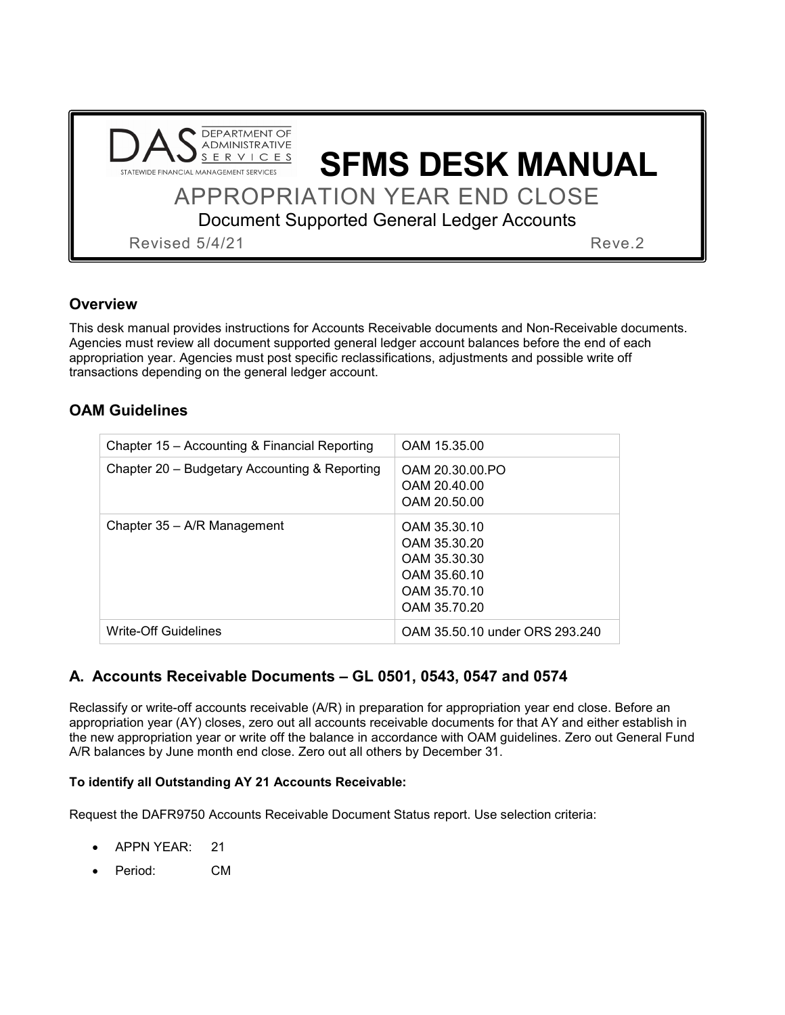| <b>DAS</b> ADMINISTRATIVE<br>STATEWIDE FINANCIAL MANAGEMENT SERVICES | <b>SFMS DESK MANUAL</b>                           |
|----------------------------------------------------------------------|---------------------------------------------------|
|                                                                      | <b>APPROPRIATION YEAR END CLOSE</b>               |
|                                                                      | <b>Document Supported General Ledger Accounts</b> |
| <b>Revised 5/4/21</b>                                                | Reve <sub>.2</sub>                                |

# **Overview**

This desk manual provides instructions for Accounts Receivable documents and Non-Receivable documents. Agencies must review all document supported general ledger account balances before the end of each appropriation year. Agencies must post specific reclassifications, adjustments and possible write off transactions depending on the general ledger account.

# **OAM Guidelines**

| Chapter 15 - Accounting & Financial Reporting | OAM 15.35.00                                                                 |
|-----------------------------------------------|------------------------------------------------------------------------------|
| Chapter 20 - Budgetary Accounting & Reporting | OAM 20.30.00.PO<br>OAM 20.40.00                                              |
|                                               | OAM 20.50.00                                                                 |
| Chapter 35 – A/R Management                   | OAM 35.30.10<br>OAM 35.30.20<br>OAM 35.30.30<br>OAM 35.60.10<br>OAM 35.70.10 |
|                                               | OAM 35.70.20                                                                 |
| <b>Write-Off Guidelines</b>                   | OAM 35.50.10 under ORS 293.240                                               |

# **A. Accounts Receivable Documents – GL 0501, 0543, 0547 and 0574**

Reclassify or write-off accounts receivable (A/R) in preparation for appropriation year end close. Before an appropriation year (AY) closes, zero out all accounts receivable documents for that AY and either establish in the new appropriation year or write off the balance in accordance with OAM guidelines. Zero out General Fund A/R balances by June month end close. Zero out all others by December 31.

## **To identify all Outstanding AY 21 Accounts Receivable:**

Request the DAFR9750 Accounts Receivable Document Status report. Use selection criteria:

- APPN YEAR: 21
- Period: CM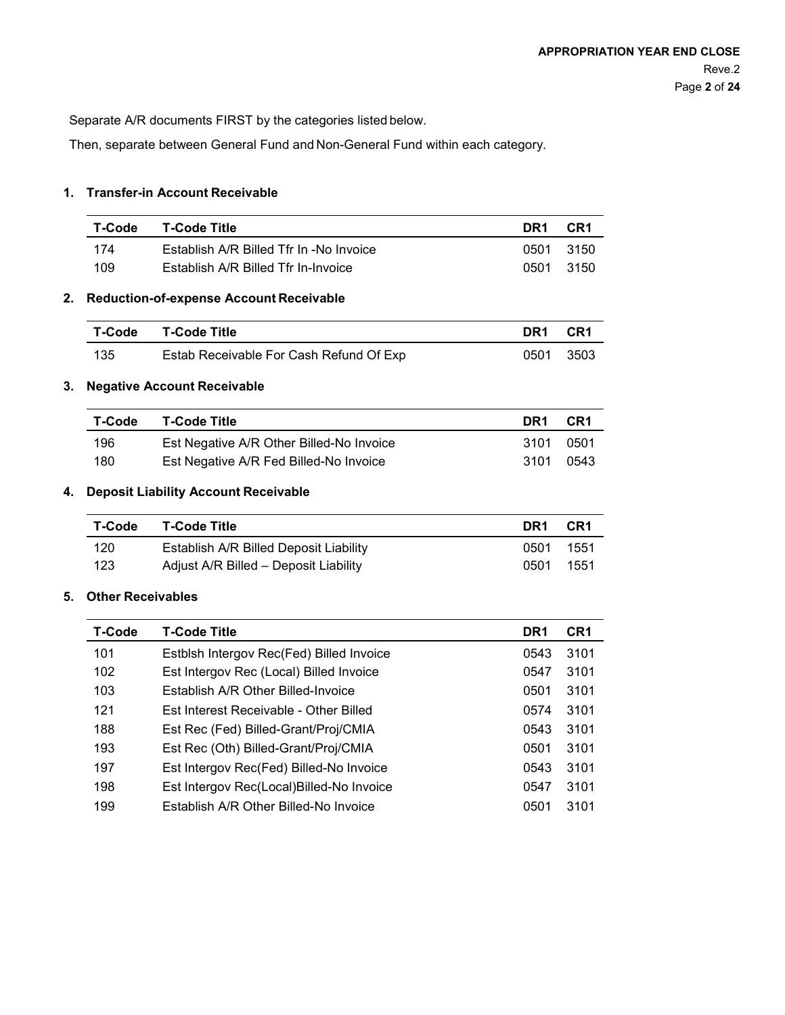Separate A/R documents FIRST by the categories listed below.

Then, separate between General Fund and Non-General Fund within each category.

### **1. Transfer-in Account Receivable**

| T-Code | T-Code Title                            | DR1  | CR1  |
|--------|-----------------------------------------|------|------|
| 174    | Establish A/R Billed Tfr In -No Invoice | 0501 | 3150 |
| 109    | Establish A/R Billed Tfr In-Invoice     | 0501 | 3150 |

### **2. Reduction-of-expense Account Receivable**

| T-Code | T-Code Title                            | DR1  | -CR1   |
|--------|-----------------------------------------|------|--------|
| 135    | Estab Receivable For Cash Refund Of Exp | 0501 | - 3503 |

#### **3. Negative Account Receivable**

| T-Code | <b>T-Code Title</b>                      | DR1   | CR <sub>1</sub> |
|--------|------------------------------------------|-------|-----------------|
| 196    | Est Negative A/R Other Billed-No Invoice | 3101. | -0501           |
| 180    | Est Negative A/R Fed Billed-No Invoice   | 3101  | 0543            |

#### **4. Deposit Liability Account Receivable**

| T-Code | <b>T-Code Title</b>                    | DR1  | CR1  |
|--------|----------------------------------------|------|------|
| 120    | Establish A/R Billed Deposit Liability | 0501 | 1551 |
| 123    | Adjust A/R Billed - Deposit Liability  | 0501 | 1551 |

#### **5. Other Receivables**

| <b>T-Code</b> | <b>T-Code Title</b>                       | DR1  | CR <sub>1</sub> |
|---------------|-------------------------------------------|------|-----------------|
| 101           | Estblsh Intergov Rec(Fed) Billed Invoice  | 0543 | 3101            |
| 102           | Est Intergov Rec (Local) Billed Invoice   | 0547 | 3101            |
| 103           | Establish A/R Other Billed-Invoice        | 0501 | 3101            |
| 121           | Est Interest Receivable - Other Billed    | 0574 | 3101            |
| 188           | Est Rec (Fed) Billed-Grant/Proj/CMIA      | 0543 | 3101            |
| 193           | Est Rec (Oth) Billed-Grant/Proj/CMIA      | 0501 | 3101            |
| 197           | Est Intergov Rec(Fed) Billed-No Invoice   | 0543 | 3101            |
| 198           | Est Intergov Rec(Local) Billed-No Invoice | 0547 | 3101            |
| 199           | Establish A/R Other Billed-No Invoice     | 0501 | 3101            |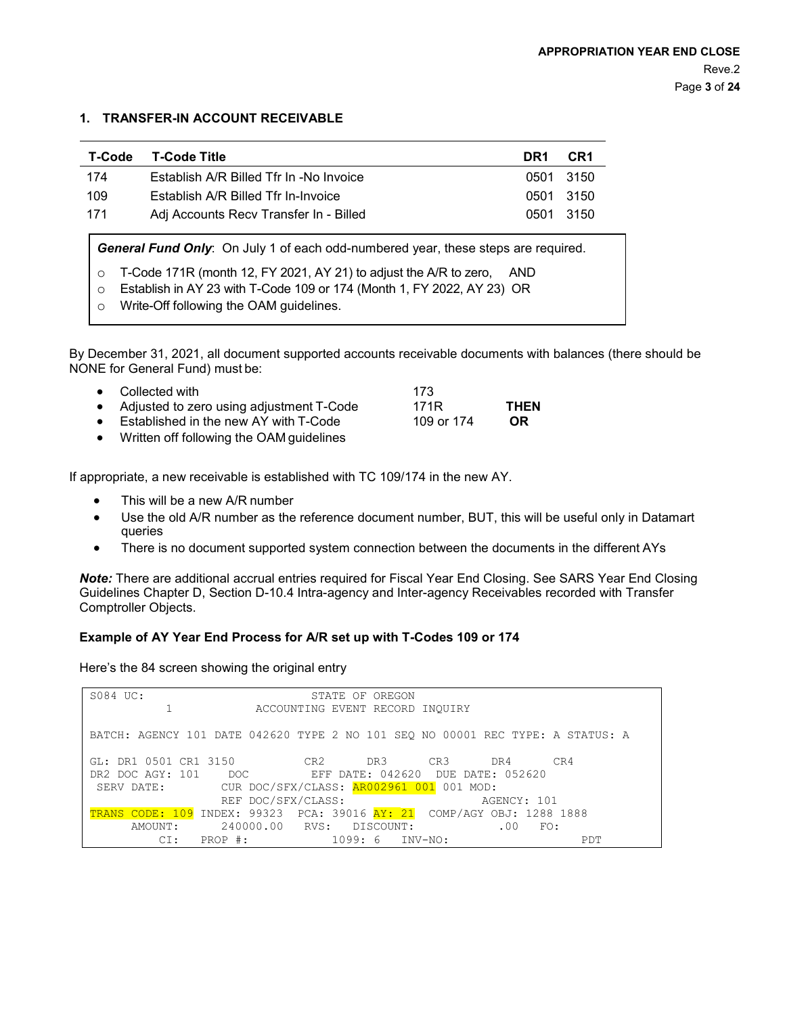#### **1. TRANSFER-IN ACCOUNT RECEIVABLE**

| T-Code                                                                            | <b>T-Code Title</b>                     | DR <sub>1</sub> | CR1  |  |
|-----------------------------------------------------------------------------------|-----------------------------------------|-----------------|------|--|
| 174                                                                               | Establish A/R Billed Tfr In -No Invoice | 0501            | 3150 |  |
| 109                                                                               | Establish A/R Billed Tfr In-Invoice     | 0501            | 3150 |  |
| 171                                                                               | Adj Accounts Recv Transfer In - Billed  | 0501            | 3150 |  |
| General Fund Only: On July 1 of each odd-numbered year, these steps are required. |                                         |                 |      |  |
| T-Code 171R (month 12, FY 2021, AY 21) to adjust the A/R to zero,<br>AND.<br>O    |                                         |                 |      |  |
| Establish in AY 23 with T-Code 109 or 174 (Month 1, FY 2022, AY 23) OR<br>O       |                                         |                 |      |  |
| O                                                                                 | Write-Off following the OAM guidelines. |                 |      |  |

By December 31, 2021, all document supported accounts receivable documents with balances (there should be NONE for General Fund) must be:

| • Collected with                           | 173        |             |
|--------------------------------------------|------------|-------------|
| • Adjusted to zero using adjustment T-Code | 171R       | <b>THEN</b> |
| • Established in the new AY with T-Code    | 109 or 174 | OR.         |
| • Written off following the OAM guidelines |            |             |

If appropriate, a new receivable is established with TC 109/174 in the new AY.

- This will be a new A/R number
- Use the old A/R number as the reference document number, BUT, this will be useful only in Datamart queries
- There is no document supported system connection between the documents in the different AYs

*Note:* There are additional accrual entries required for Fiscal Year End Closing. See SARS Year End Closing Guidelines Chapter D, Section D-10.4 Intra-agency and Inter-agency Receivables recorded with Transfer Comptroller Objects.

#### **Example of AY Year End Process for A/R set up with T-Codes 109 or 174**

Here's the 84 screen showing the original entry

| S084 UC:              |                                                                                | STATE OF OREGON                 |             |     |
|-----------------------|--------------------------------------------------------------------------------|---------------------------------|-------------|-----|
|                       |                                                                                | ACCOUNTING EVENT RECORD INQUIRY |             |     |
|                       | BATCH: AGENCY 101 DATE 042620 TYPE 2 NO 101 SEQ NO 00001 REC TYPE: A STATUS: A |                                 |             |     |
| GL: DR1 0501 CR1 3150 | CR2 DR3                                                                        |                                 | CR3 DR4     | CR4 |
|                       | DR2 DOC AGY: 101 DOC EFF DATE: 042620 DUE DATE: 052620                         |                                 |             |     |
|                       | SERV DATE: CUR DOC/SFX/CLASS: AR002961 001 001 MOD:                            |                                 |             |     |
|                       | REF DOC/SFX/CLASS:                                                             |                                 | AGENCY: 101 |     |
|                       | TRANS CODE: 109 INDEX: 99323 PCA: 39016 AY: 21 COMP/AGY OBJ: 1288 1888         |                                 |             |     |
|                       | AMOUNT: 240000.00 RVS: DISCOUNT:                                               |                                 | $.00$ FO:   |     |
|                       | $CI: PROP$ #:                                                                  | $1099:6$ INV-NO:                |             | PDT |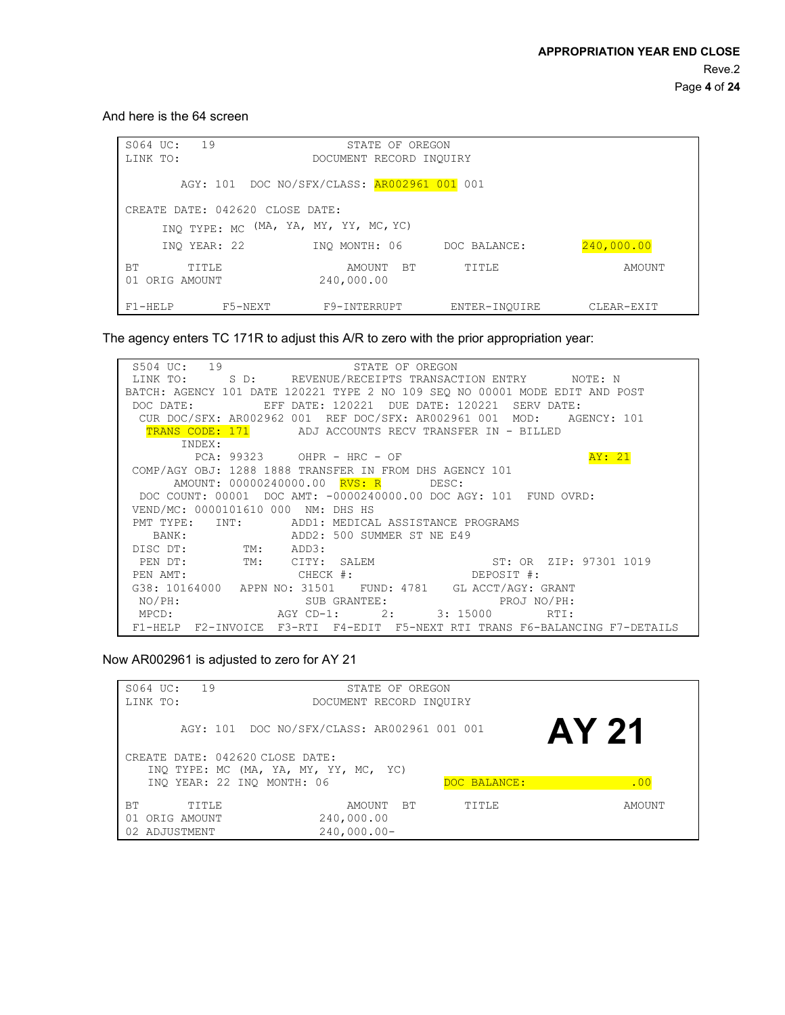And here is the 64 screen

| 19<br>S064 UC:<br>LINK TO:                                               | STATE OF OREGON<br>DOCUMENT RECORD INQUIRY |               |            |
|--------------------------------------------------------------------------|--------------------------------------------|---------------|------------|
| AGY: 101 DOC NO/SFX/CLASS: AR002961 001 001                              |                                            |               |            |
| CREATE DATE: 042620 CLOSE DATE:<br>INQ TYPE: MC (MA, YA, MY, YY, MC, YC) |                                            |               |            |
| INO YEAR: 22                                                             | INO MONTH: 06                              | DOC BALANCE:  | 240,000.00 |
| TITLE<br>BТ<br>ORIG AMOUNT<br>01                                         | AMOUNT BT<br>240,000.00                    | TITLE         | AMOUNT     |
| $F1 - HELP$<br>F5-NEXT                                                   | F9-INTERRUPT                               | ENTER-INOUIRE | CLEAR-EXIT |

The agency enters TC 171R to adjust this A/R to zero with the prior appropriation year:

| S504 UC: 19<br>STATE OF OREGON                                              |
|-----------------------------------------------------------------------------|
| LINK TO: S D: REVENUE/RECEIPTS TRANSACTION ENTRY NOTE: N                    |
| BATCH: AGENCY 101 DATE 120221 TYPE 2 NO 109 SEQ NO 00001 MODE EDIT AND POST |
| DOC DATE:<br><b>EFF</b><br>DATE: 120221<br>DUE DATE: 120221 SERV DATE:      |
| CUR DOC/SFX: AR002962 001 REF DOC/SFX: AR002961 001 MOD: AGENCY: 101        |
| TRANS CODE: 171 ADJ ACCOUNTS RECV TRANSFER IN - BILLED                      |
| INDEX:                                                                      |
| AY: 21<br>PCA: 99323 OHPR - HRC - OF                                        |
| COMP/AGY OBJ: 1288 1888 TRANSFER IN FROM DHS AGENCY 101                     |
| AMOUNT: 00000240000.00 RVS: R DESC:                                         |
| DOC COUNT: 00001 DOC AMT: -0000240000.00 DOC AGY: 101 FUND OVRD:            |
| VEND/MC: 0000101610 000 NM: DHS HS                                          |
| PMT TYPE: INT: ADD1: MEDICAL ASSISTANCE PROGRAMS                            |
| BANK: ADD2: 500 SUMMER ST NE E49                                            |
| DISC DT: TM: ADD3:                                                          |
| PEN DT: TM: CITY: SALEM ST: OR ZIP: 97301 1019                              |
| DEPOSIT #:<br>$CHECK$ #:<br>PEN AMT:                                        |
| G38: 10164000 APPN NO: 31501 FUND: 4781 GL ACCT/AGY: GRANT                  |
| SUB GRANTEE: PROJ NO/PH:<br>NO/PH:                                          |
| MPCD: AGY CD-1: 2: 3: 15000 RTI:                                            |
| F1-HELP F2-INVOICE F3-RTI F4-EDIT F5-NEXT RTI TRANS F6-BALANCING F7-DETAILS |

Now AR002961 is adjusted to zero for AY 21

| 19<br>S064 UC:                   | STATE OF OREGON                             |              |        |
|----------------------------------|---------------------------------------------|--------------|--------|
| LINK TO:                         | DOCUMENT RECORD INQUIRY                     |              |        |
|                                  | AGY: 101 DOC NO/SFX/CLASS: AR002961 001 001 |              | AY 21  |
| CREATE DATE: 042620 CLOSE DATE:  |                                             |              |        |
|                                  | INQ TYPE: MC (MA, YA, MY, YY, MC, YC)       |              |        |
| INO YEAR: 22 INO MONTH: 06       |                                             | DOC BALANCE: | .00    |
| BТ<br>TITLE<br>ORIG AMOUNT<br>01 | AMOUNT BT<br>240,000.00                     | TITLE        | AMOUNT |
| ADJUSTMENT<br>02.                | $240,000.00-$                               |              |        |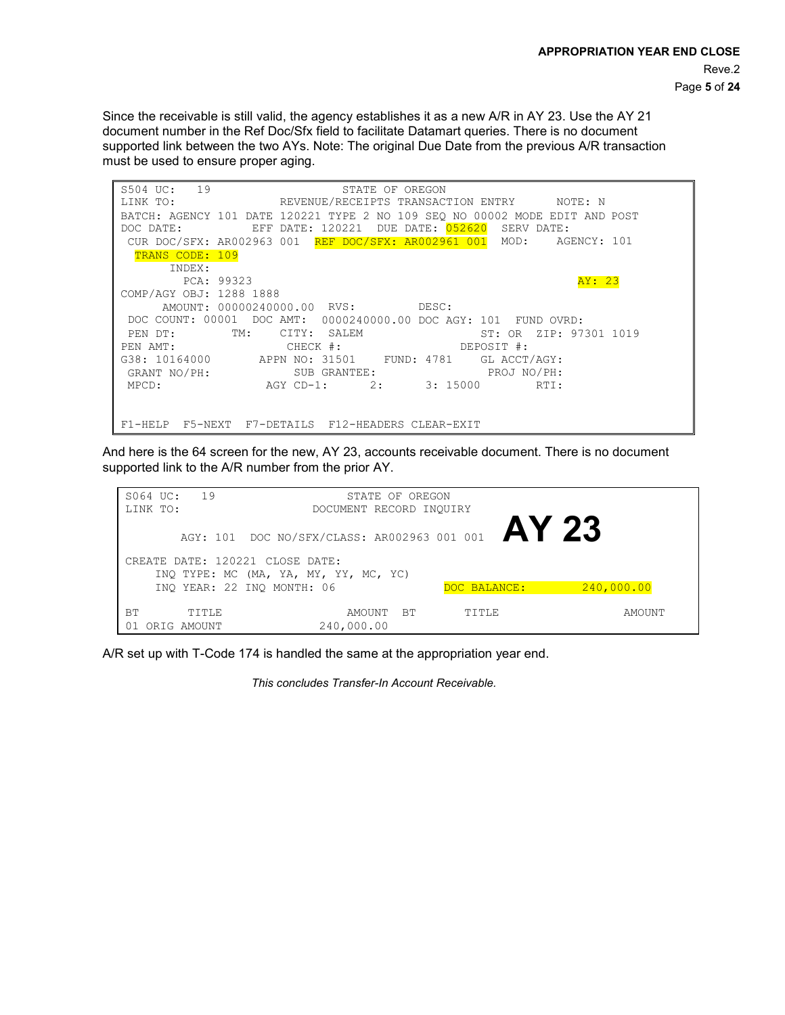Since the receivable is still valid, the agency establishes it as a new A/R in AY 23. Use the AY 21 document number in the Ref Doc/Sfx field to facilitate Datamart queries. There is no document supported link between the two AYs. Note: The original Due Date from the previous A/R transaction must be used to ensure proper aging.

| S504 UC: 19<br>STATE OF OREGON                                              |  |
|-----------------------------------------------------------------------------|--|
| LINK TO:             REVENUE/RECEIPTS TRANSACTION ENTRY         NOTE: N     |  |
| BATCH: AGENCY 101 DATE 120221 TYPE 2 NO 109 SEQ NO 00002 MODE EDIT AND POST |  |
| EFF DATE: 120221 DUE DATE: <mark>052620</mark><br>DOC DATE:<br>SERV DATE:   |  |
| CUR DOC/SFX: AR002963 001 REF DOC/SFX: AR002961 001 MOD: AGENCY: 101        |  |
| TRANS CODE: 109                                                             |  |
| INDEX:                                                                      |  |
| AY: 23<br>PCA: 99323                                                        |  |
| COMP/AGY OBJ: 1288 1888                                                     |  |
| AMOUNT: 00000240000.00 RVS: DESC:                                           |  |
| DOC COUNT: 00001 DOC AMT: 0000240000.00 DOC AGY: 101 FUND OVRD:             |  |
| TM: CITY: SALEM<br>ST: OR ZIP: 97301 1019<br>PEN DT:                        |  |
|                                                                             |  |
| G38: 10164000 APPN NO: 31501 FUND: 4781 GL ACCT/AGY:                        |  |
| GRANT NO/PH: SUB GRANTEE:<br>PROJ NO/PH:                                    |  |
| AGY CD-1: 2: 3: 15000 RTI:<br>MPCD:                                         |  |
|                                                                             |  |
|                                                                             |  |
| F5-NEXT F7-DETAILS F12-HEADERS CLEAR-EXIT<br>$F1 - HELP$                    |  |

And here is the 64 screen for the new, AY 23, accounts receivable document. There is no document supported link to the A/R number from the prior AY.

| S064 UC:<br>19                   | STATE OF OREGON                                     |              |            |
|----------------------------------|-----------------------------------------------------|--------------|------------|
| LINK TO:                         | DOCUMENT RECORD INQUIRY                             |              |            |
|                                  | AGY: 101 DOC NO/SFX/CLASS: AR002963 001 001 $AY$ 23 |              |            |
| CREATE DATE: 120221 CLOSE DATE:  | INQ TYPE: MC (MA, YA, MY, YY, MC, YC)               |              |            |
|                                  | INO YEAR: 22 INO MONTH: 06                          | DOC BALANCE: | 240,000.00 |
| ВT<br>TITLE<br>ORIG AMOUNT<br>01 | BT<br>AMOUNT<br>240,000.00                          | TITLE        | AMOUNT     |

A/R set up with T-Code 174 is handled the same at the appropriation year end.

*This concludes Transfer-In Account Receivable.*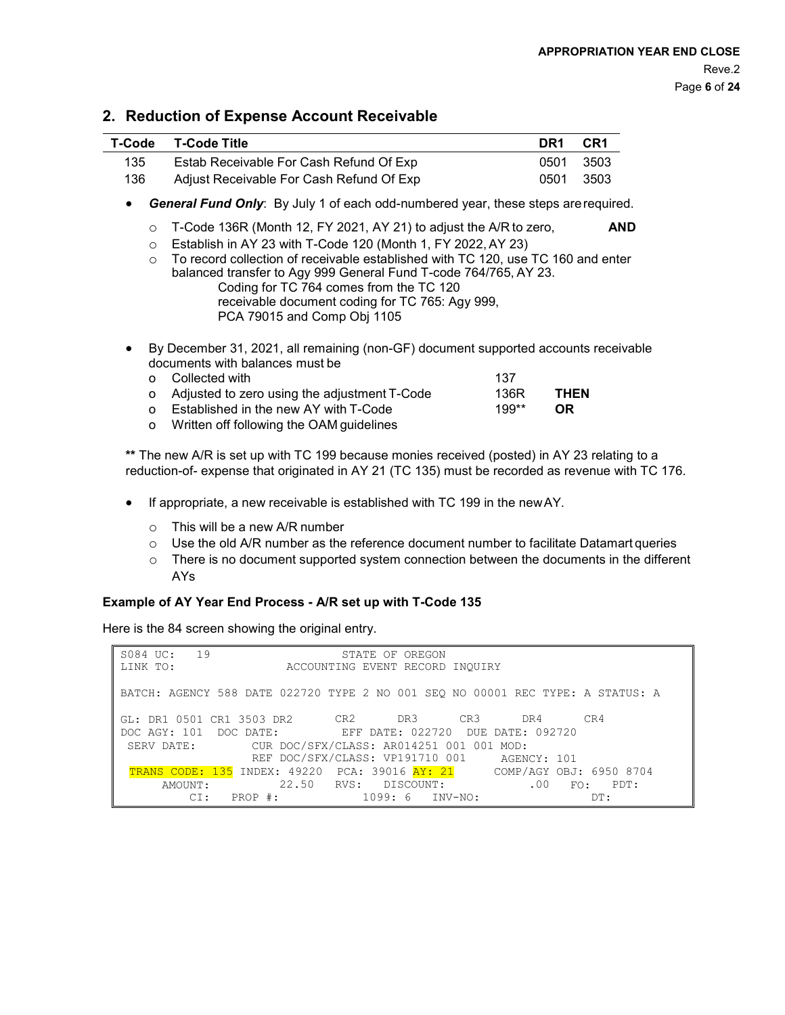## **2. Reduction of Expense Account Receivable**

| T-Code | T-Code Title                             | DR <sub>1</sub> | CR <sub>1</sub> |
|--------|------------------------------------------|-----------------|-----------------|
| 135    | Estab Receivable For Cash Refund Of Exp  | 0501            | - 3503          |
| 136    | Adjust Receivable For Cash Refund Of Exp | 0501            | - 3503          |

• *General Fund Only*: By July 1 of each odd-numbered year, these steps arerequired.

- o T-Code 136R (Month 12, FY 2021, AY 21) to adjust the A/R to zero, **AND**
- o Establish in AY 23 with T-Code 120 (Month 1, FY 2022, AY 23)
- o To record collection of receivable established with TC 120, use TC 160 and enter balanced transfer to Agy 999 General Fund T-code 764/765, AY 23. Coding for TC 764 comes from the TC 120 receivable document coding for TC 765: Agy 999, PCA 79015 and Comp Obj 1105
- By December 31, 2021, all remaining (non-GF) document supported accounts receivable documents with balances must be

| o Collected with                                          | 137   |             |
|-----------------------------------------------------------|-------|-------------|
| o Adjusted to zero using the adjustment T-Code            | 136R  | <b>THEN</b> |
| o Established in the new AY with T-Code                   | 199** | 0R          |
| $\Omega$ Written off following the $\Omega$ AM quidelines |       |             |

o Written off following the OAM guidelines

**\*\*** The new A/R is set up with TC 199 because monies received (posted) in AY 23 relating to a reduction-of- expense that originated in AY 21 (TC 135) must be recorded as revenue with TC 176.

- If appropriate, a new receivable is established with TC 199 in the newAY.
	- o This will be a new A/R number
	- $\circ$  Use the old A/R number as the reference document number to facilitate Datamart queries
	- $\circ$  There is no document supported system connection between the documents in the different AYs

#### **Example of AY Year End Process - A/R set up with T-Code 135**

Here is the 84 screen showing the original entry.

| S084 UC: 19                                                                    | STATE OF OREGON                 |                   |
|--------------------------------------------------------------------------------|---------------------------------|-------------------|
| LINK TO:                                                                       | ACCOUNTING EVENT RECORD INOUIRY |                   |
| BATCH: AGENCY 588 DATE 022720 TYPE 2 NO 001 SEO NO 00001 REC TYPE: A STATUS: A |                                 |                   |
| GL: DR1 0501 CR1 3503 DR2 CR2 DR3 CR3 DR4                                      |                                 | CR4               |
| DOC AGY: 101 DOC DATE: EFF DATE: 022720 DUE DATE: 092720                       |                                 |                   |
| SERV DATE: CUR DOC/SFX/CLASS: AR014251 001 001 MOD:                            |                                 |                   |
|                                                                                | REF DOC/SFX/CLASS: VP191710 001 | AGENCY: 101       |
| <b>TRANS CODE: 135 INDEX: 49220 PCA: 39016 AY: 21 COMP/AGY OBJ: 6950 8704</b>  |                                 |                   |
|                                                                                | AMOUNT: 22.50 RVS: DISCOUNT:    | .00<br>$FO:$ PDT: |
| CI:                                                                            | PROP #: 1099: 6 INV-NO:         | DT:               |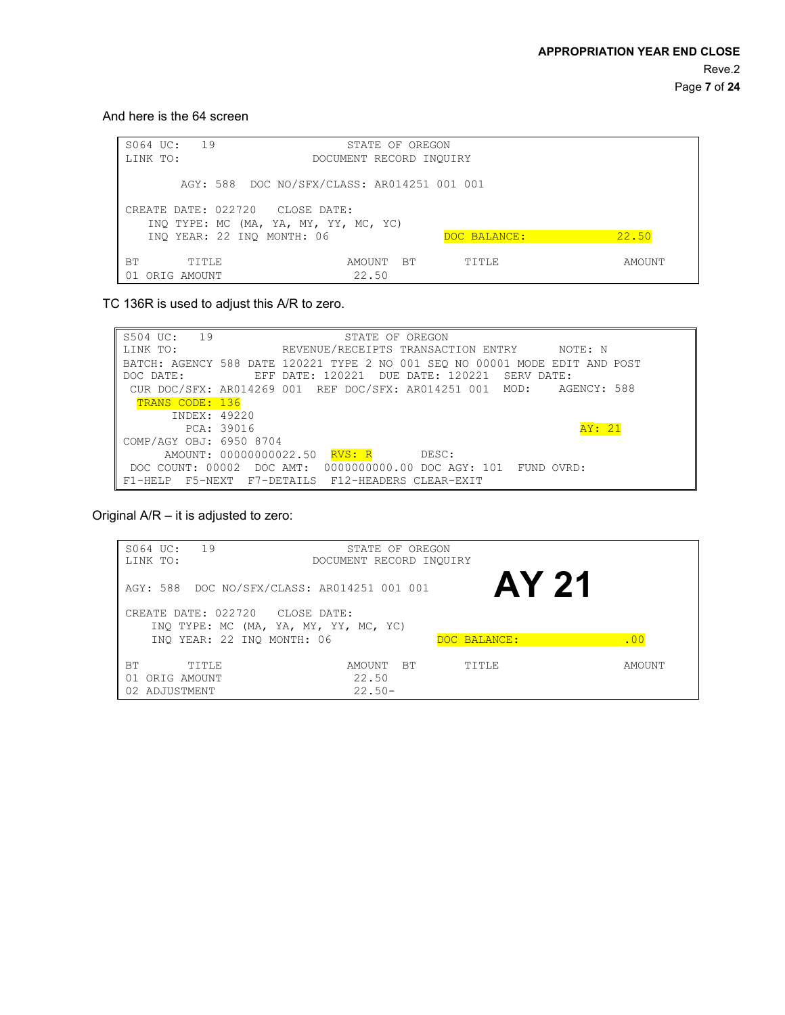And here is the 64 screen

| 19<br>S064 UC:                          | STATE OF OREGON                                                                      |              |        |
|-----------------------------------------|--------------------------------------------------------------------------------------|--------------|--------|
| LINK TO:                                | DOCUMENT RECORD INQUIRY                                                              |              |        |
| CREATE DATE: 022720 CLOSE DATE:         | AGY: 588 DOC NO/SFX/CLASS: AR014251 001 001<br>INQ TYPE: MC (MA, YA, MY, YY, MC, YC) |              |        |
| INO YEAR: 22 INO MONTH: 06              |                                                                                      | DOC BALANCE: | 22.50  |
| <b>BT</b><br>TITLE<br>ORIG AMOUNT<br>01 | BТ<br>AMOUNT<br>22.50                                                                | TITLE        | AMOUNT |

TC 136R is used to adjust this A/R to zero.

S504 UC: 19 LINK TO: STATE OF OREGON REVENUE/RECEIPTS TRANSACTION ENTRY NOTE: N BATCH: AGENCY 588 DATE 120221 TYPE 2 NO 001 SEQ NO 00001 MODE EDIT AND POST DOC DATE:  $120221$  DUE DATE: 120221 SERV DATE: EFF DATE: 120221 DUE DATE: 120221 SERV DATE: CUR DOC/SFX: AR014269 001 REF DOC/SFX: AR014251 001 TRANS CODE: 136 INDEX: 49220 PCA: 39016 COMP/AGY OBJ: 6950 8704 AGENCY: 588 AY: 21 AMOUNT: 00000000022.50 RVS: R DESC: DOC COUNT: 00002 DOC AMT: 0000000000.00 DOC AGY: 101 FUND OVRD: F1-HELP F5-NEXT F7-DETAILS F12-HEADERS CLEAR-EXIT

Original A/R – it is adjusted to zero:

| 19<br>S064 UC:<br>LINK TO:              | STATE OF OREGON<br>DOCUMENT RECORD INQUIRY  |              |        |
|-----------------------------------------|---------------------------------------------|--------------|--------|
|                                         | AGY: 588 DOC NO/SFX/CLASS: AR014251 001 001 | AY 21        |        |
|                                         | CREATE DATE: 022720 CLOSE DATE:             |              |        |
|                                         | INQ TYPE: MC (MA, YA, MY, YY, MC, YC)       |              |        |
|                                         | INO YEAR: 22 INO MONTH: 06                  | DOC BALANCE: | .00    |
| <b>BT</b><br>TITLE<br>ORIG AMOUNT<br>01 | <b>BT</b><br>AMOUNT<br>22.50                | TITLE        | AMOUNT |
| 02 ADJUSTMENT                           | $22.50 -$                                   |              |        |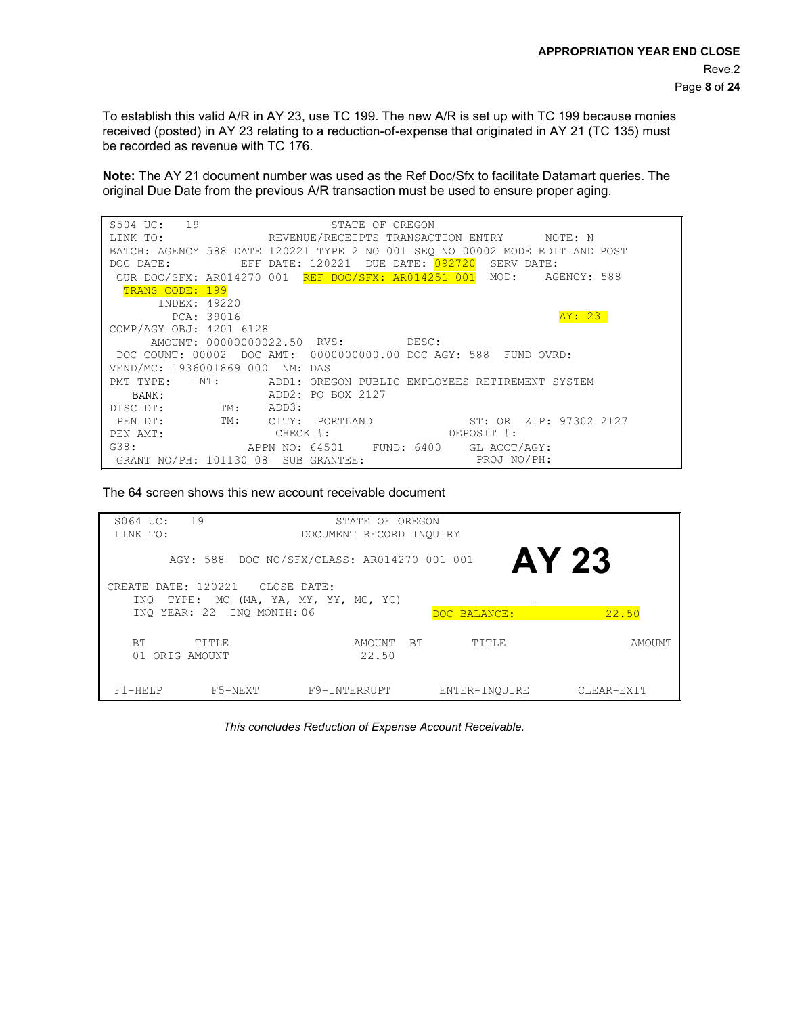To establish this valid A/R in AY 23, use TC 199. The new A/R is set up with TC 199 because monies received (posted) in AY 23 relating to a reduction-of-expense that originated in AY 21 (TC 135) must be recorded as revenue with TC 176.

**Note:** The AY 21 document number was used as the Ref Doc/Sfx to facilitate Datamart queries. The original Due Date from the previous A/R transaction must be used to ensure proper aging.

| S504 UC: 19<br>STATE OF OREGON                                              |
|-----------------------------------------------------------------------------|
| REVENUE/RECEIPTS TRANSACTION ENTRY NOTE: N<br>LINK TO:                      |
| BATCH: AGENCY 588 DATE 120221 TYPE 2 NO 001 SEO NO 00002 MODE EDIT AND POST |
| EFF DATE: 120221<br>DUE DATE: 092720<br>DOC DATE:<br>SERV DATE:             |
| CUR DOC/SFX: AR014270 001 REF DOC/SFX: AR014251 001 MOD:<br>AGENCY: 588     |
| TRANS CODE: 199                                                             |
| INDEX: 49220                                                                |
| AY: 23<br>PCA: 39016                                                        |
| COMP/AGY OBJ: 4201 6128                                                     |
| AMOUNT: 00000000022.50 RVS: DESC:                                           |
| DOC COUNT: 00002 DOC AMT: 0000000000.00 DOC AGY: 588 FUND OVRD:             |
| VEND/MC: 1936001869 000 NM: DAS                                             |
| INT:<br>PMT TYPE:<br>ADD1: OREGON PUBLIC EMPLOYEES RETIREMENT SYSTEM        |
| ADD2: PO BOX 2127<br>BANK:                                                  |
| TM: ADD3:<br>DISC DT:                                                       |
| TM: CITY:<br>ST: OR ZIP: 97302 2127<br>PEN DT:<br>PORTLAND                  |
| $CHECK$ #:<br>DEPOSIT #:<br>PEN AMT:                                        |
| G38:<br>APPN NO: 64501 FUND: 6400 GL ACCT/AGY:                              |
| PROJ NO/PH:<br>GRANT NO/PH: 101130 08 SUB GRANTEE:                          |

The 64 screen shows this new account receivable document

| S064 UC:<br>LINK TO:           | 19                              | STATE OF OREGON<br>DOCUMENT RECORD INQUIRY  |               |            |
|--------------------------------|---------------------------------|---------------------------------------------|---------------|------------|
|                                |                                 | AGY: 588 DOC NO/SFX/CLASS: AR014270 001 001 |               | AY 23      |
| INO                            | CREATE DATE: 120221 CLOSE DATE: | TYPE: MC (MA, YA, MY, YY, MC, YC)           |               |            |
|                                | INO YEAR: 22 INO MONTH: 06      |                                             | DOC BALANCE:  | 22.50      |
| <b>BT</b><br>ORIG AMOUNT<br>01 | TITLE                           | <b>BT</b><br>AMOUNT<br>22.50                | TITLE         | AMOUNT     |
| $F1 - HELP$                    | F5-NEXT                         | F9-INTERRUPT                                | ENTER-INOUIRE | CLEAR-EXIT |

*This concludes Reduction of Expense Account Receivable.*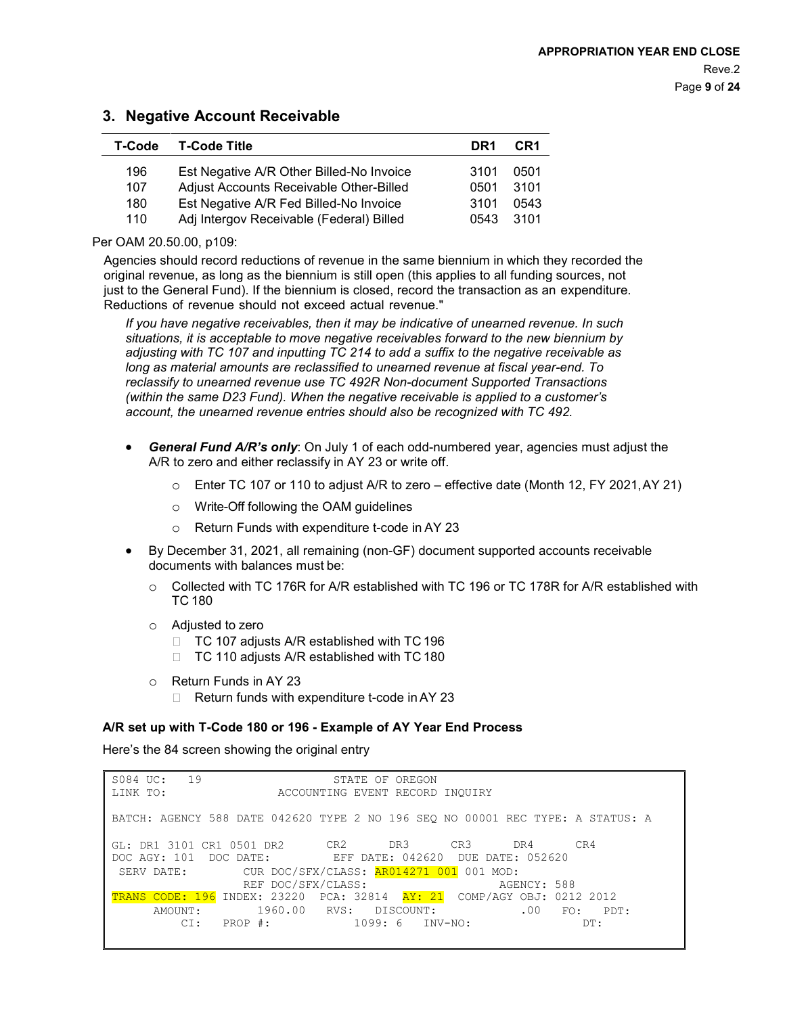# **3. Negative Account Receivable**

| T-Code | <b>T-Code Title</b>                      | DR <sub>1</sub> | CR <sub>1</sub> |
|--------|------------------------------------------|-----------------|-----------------|
| 196    | Est Negative A/R Other Billed-No Invoice | 3101            | 0501            |
| 107    | Adjust Accounts Receivable Other-Billed  | 0501            | 3101            |
| 180    | Est Negative A/R Fed Billed-No Invoice   | 3101            | 0543            |
| 110    | Adj Intergov Receivable (Federal) Billed | 0543            | 3101            |

Per OAM 20.50.00, p109:

Agencies should record reductions of revenue in the same biennium in which they recorded the original revenue, as long as the biennium is still open (this applies to all funding sources, not just to the General Fund). If the biennium is closed, record the transaction as an expenditure. Reductions of revenue should not exceed actual revenue."

*If you have negative receivables, then it may be indicative of unearned revenue. In such situations, it is acceptable to move negative receivables forward to the new biennium by adjusting with TC 107 and inputting TC 214 to add a suffix to the negative receivable as long as material amounts are reclassified to unearned revenue at fiscal year-end. To reclassify to unearned revenue use TC 492R Non-document Supported Transactions (within the same D23 Fund). When the negative receivable is applied to a customer's account, the unearned revenue entries should also be recognized with TC 492.*

- *General Fund A/R's only*: On July 1 of each odd-numbered year, agencies must adjust the A/R to zero and either reclassify in AY 23 or write off.
	- $\circ$  Enter TC 107 or 110 to adjust A/R to zero effective date (Month 12, FY 2021, AY 21)
	- o Write-Off following the OAM guidelines
	- o Return Funds with expenditure t-code in AY 23
- By December 31, 2021, all remaining (non-GF) document supported accounts receivable documents with balances must be:
	- o Collected with TC 176R for A/R established with TC 196 or TC 178R for A/R established with TC 180
	- $\circ$  Adjusted to zero<br>TC 107 adiu
		- TC 107 adjusts A/R established with TC 196
		- □ TC 110 adjusts A/R established with TC 180
	- o Return Funds in AY 23
		- $\Box$  Return funds with expenditure t-code in AY 23

#### **A/R set up with T-Code 180 or 196 - Example of AY Year End Process**

Here's the 84 screen showing the original entry

| S084 UC: 19<br>LINK TO:                                                        | STATE OF OREGON<br>ACCOUNTING EVENT RECORD INQUIRY |                 |
|--------------------------------------------------------------------------------|----------------------------------------------------|-----------------|
| BATCH: AGENCY 588 DATE 042620 TYPE 2 NO 196 SEO NO 00001 REC TYPE: A STATUS: A |                                                    |                 |
| GL: DR1 3101 CR1 0501 DR2 CR2 DR3 CR3                                          |                                                    | CR4<br>DR4      |
| DOC AGY: 101 DOC DATE: EFF DATE: 042620 DUE DATE: 052620                       |                                                    |                 |
| SERV DATE: CUR DOC/SFX/CLASS: AR014271 001 001 MOD:                            |                                                    |                 |
|                                                                                | REF DOC/SFX/CLASS:                                 | AGENCY: 588     |
| TRANS CODE: 196 INDEX: 23220 PCA: 32814 AY: 21 COMP/AGY OBJ: 0212 2012         |                                                    |                 |
| AMOUNT:                                                                        | 1960.00 RVS: DISCOUNT:                             | .00<br>FO: PDT: |
| CI:                                                                            |                                                    | DT:             |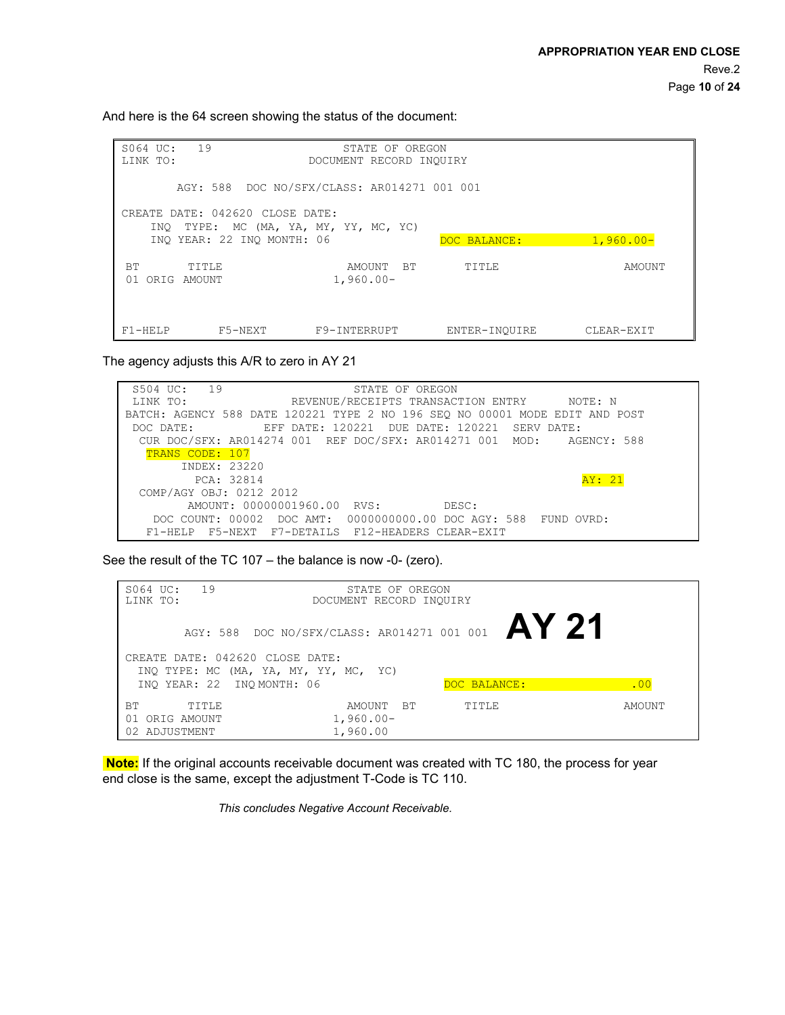And here is the 64 screen showing the status of the document:

| 19<br>S064 UC:<br>LINK TO:                                               | STATE OF OREGON<br>DOCUMENT RECORD INOUIRY  |               |             |
|--------------------------------------------------------------------------|---------------------------------------------|---------------|-------------|
|                                                                          | AGY: 588 DOC NO/SFX/CLASS: AR014271 001 001 |               |             |
| CREATE DATE: 042620 CLOSE DATE:<br>INQ TYPE: MC (MA, YA, MY, YY, MC, YC) |                                             |               |             |
| INO YEAR: 22 INO MONTH: 06                                               |                                             | DOC BALANCE:  | $1,960.00-$ |
| ВT<br>TITLE<br>01<br>ORIG AMOUNT                                         | <b>BT</b><br>AMOUNT<br>$1,960.00 -$         | TITLE         | AMOUNT      |
| F5-NEXT<br>$F1 - HELP$                                                   | F9-INTERRUPT                                | ENTER-INOUIRE | CLEAR-EXIT  |

The agency adjusts this A/R to zero in AY 21

| 19<br>S504 UC:<br>STATE OF OREGON                                           |  |
|-----------------------------------------------------------------------------|--|
| REVENUE/RECEIPTS TRANSACTION ENTRY<br>LINK TO:<br>NOTE: N                   |  |
| BATCH: AGENCY 588 DATE 120221 TYPE 2 NO 196 SEO NO 00001 MODE EDIT AND POST |  |
| EFF DATE: 120221 DUE DATE: 120221 SERV DATE:<br>DOC DATE:                   |  |
| CUR DOC/SFX: AR014274 001 REF DOC/SFX: AR014271 001 MOD:<br>AGENCY: 588     |  |
| TRANS CODE: 107                                                             |  |
| INDEX: 23220                                                                |  |
| AY: 21<br>PCA: 32814                                                        |  |
| COMP/AGY OBJ: 0212 2012                                                     |  |
| AMOUNT: 00000001960.00 RVS:<br>DESC:                                        |  |
| DOC COUNT: 00002 DOC AMT: 0000000000.00 DOC AGY: 588 FUND OVRD:             |  |
| F1-HELP F5-NEXT F7-DETAILS F12-HEADERS CLEAR-EXIT                           |  |

See the result of the TC 107 – the balance is now -0- (zero).

| 19<br>$S064$ $U$ C:<br>LINK TO: | STATE OF OREGON<br>DOCUMENT RECORD INQUIRY        |              |        |
|---------------------------------|---------------------------------------------------|--------------|--------|
|                                 | AGY: 588 DOC NO/SFX/CLASS: AR014271 001 001 AY 21 |              |        |
| CREATE DATE: 042620 CLOSE DATE: |                                                   |              |        |
|                                 | INQ TYPE: MC (MA, YA, MY, YY, MC, YC)             |              |        |
| INO YEAR: 22 INO MONTH: 06      |                                                   | DOC BALANCE: | .00    |
| <b>BT</b><br>TITLE              | <b>BT</b><br>AMOUNT                               | TITLE        | AMOUNT |
| ORIG AMOUNT<br>01               | $1,960.00 -$                                      |              |        |
| 02 ADJUSTMENT                   | 1,960.00                                          |              |        |

**Note:** If the original accounts receivable document was created with TC 180, the process for year end close is the same, except the adjustment T-Code is TC 110.

*This concludes Negative Account Receivable.*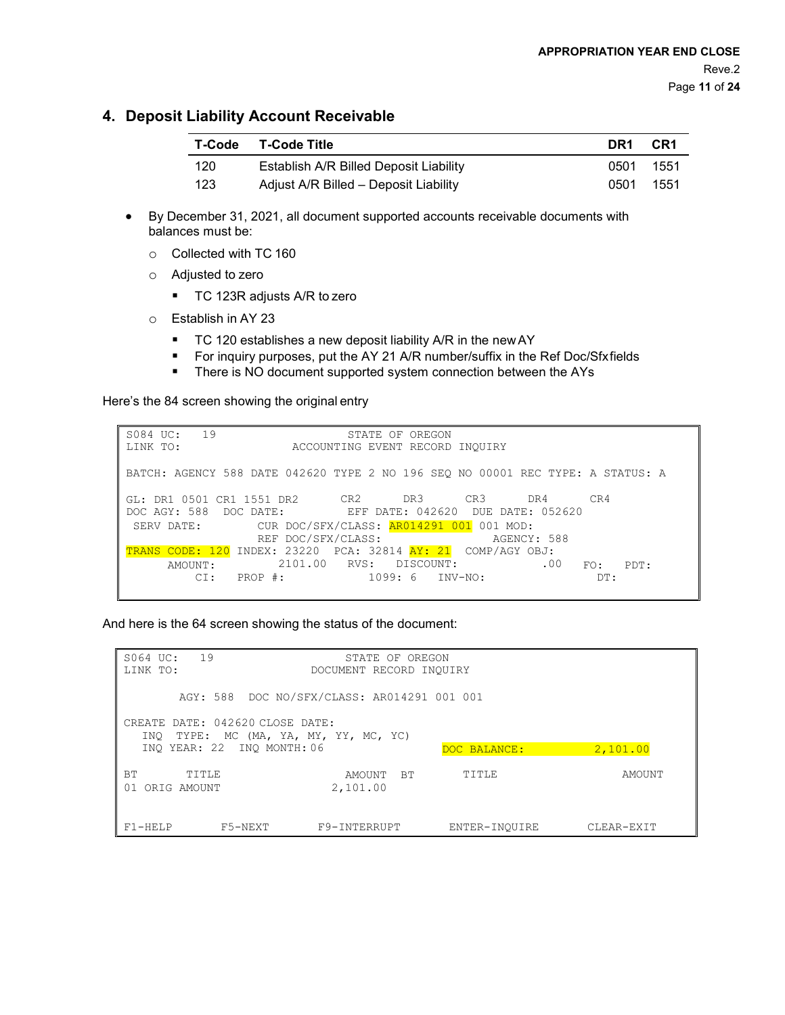# **4. Deposit Liability Account Receivable**

| T-Code | T-Code Title                           | DR1  | CR1   |
|--------|----------------------------------------|------|-------|
| 120    | Establish A/R Billed Deposit Liability | 0501 | -1551 |
| 123    | Adjust A/R Billed - Deposit Liability  | 0501 | 1551  |

- By December 31, 2021, all document supported accounts receivable documents with balances must be:
	- o Collected with TC 160
	- o Adjusted to zero
		- TC 123R adjusts A/R to zero
	- o Establish in AY 23
		- TC 120 establishes a new deposit liability A/R in the new AY
		- For inquiry purposes, put the AY 21 A/R number/suffix in the Ref Doc/Sfxfields
		- **There is NO document supported system connection between the AYs**

Here's the 84 screen showing the original entry

| 19<br>S084 UC:<br>LINK TO:                                                                            |                                                                             | ACCOUNTING EVENT RECORD INQUIRY | STATE OF OREGON |             |     |                    |  |
|-------------------------------------------------------------------------------------------------------|-----------------------------------------------------------------------------|---------------------------------|-----------------|-------------|-----|--------------------|--|
| BATCH: AGENCY 588 DATE 042620 TYPE 2 NO 196 SEO NO 00001 REC TYPE: A STATUS: A                        |                                                                             |                                 |                 |             |     |                    |  |
| GL: DR1 0501 CR1 1551 DR2 CR2 DR3 CR3 DR4<br>DOC AGY: 588 DOC DATE: EFF DATE: 042620 DUE DATE: 052620 |                                                                             |                                 |                 |             |     | CR4                |  |
| SERV DATE:<br>TRANS CODE: 120 INDEX: 23220 PCA: 32814 AY: 21 COMP/AGY OBJ:                            | CUR DOC/SFX/CLASS: <mark>AR014291 001</mark> 001 MOD:<br>REF DOC/SFX/CLASS: |                                 |                 | AGENCY: 588 |     |                    |  |
| AMOUNT :<br>CI:                                                                                       | PROP #:                                                                     | 2101.00 RVS: DISCOUNT:          | 1099: 6 INV-NO: |             | .00 | PDT:<br>FO:<br>DT: |  |

And here is the 64 screen showing the status of the document:

| 19<br>S064 UC:<br>STATE OF OREGON<br>LINK TO:<br>DOCUMENT RECORD INOUIRY |                                 |                                             |               |            |
|--------------------------------------------------------------------------|---------------------------------|---------------------------------------------|---------------|------------|
|                                                                          |                                 | AGY: 588 DOC NO/SFX/CLASS: AR014291 001 001 |               |            |
| INO                                                                      | CREATE DATE: 042620 CLOSE DATE: | TYPE: MC (MA, YA, MY, YY, MC, YC)           |               |            |
|                                                                          | INO YEAR: 22 INO MONTH: 06      |                                             | DOC BALANCE:  | 2,101.00   |
|                                                                          |                                 |                                             |               |            |
| <b>BT</b><br>TTTLE<br>ORIG AMOUNT<br>01                                  |                                 | <b>BT</b><br>AMOUNT<br>2,101.00             | TTTLE         | AMOUNT     |
| $F1 - HELP$                                                              | F5-NEXT                         | F9-INTERRUPT                                | ENTER-INOUIRE | CLEAR-EXIT |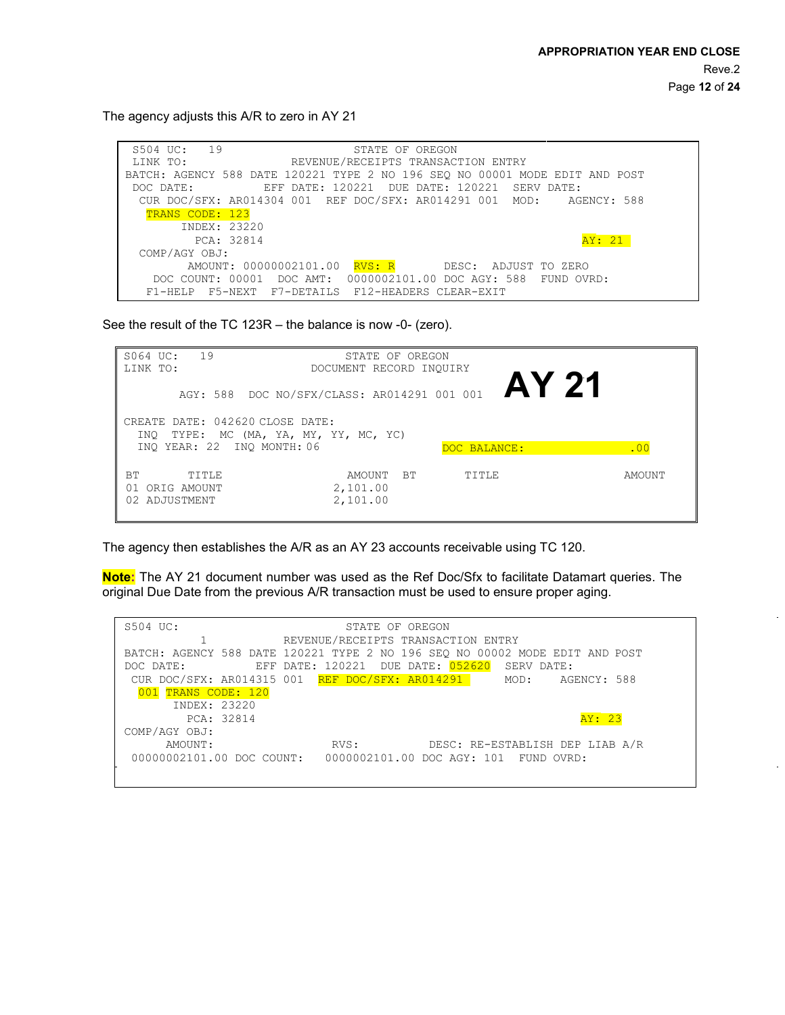The agency adjusts this A/R to zero in AY 21

S504 UC: 19 STATE OF OREGON<br>LINK TO: REVENUE/RECEIPTS TRANSAC REVENUE/RECEIPTS TRANSACTION ENTRY BATCH: AGENCY 588 DATE 120221 TYPE 2 NO 196 SEQ NO 00001 MODE EDIT AND POST DOC DATE: LEFT DATE: 120221 DUE DATE: 120221 SERV DATE: EFF DATE: 120221 DUE DATE: 120221 SERV DATE:<br>114304 001 REF DOC/SFX: AR014291 001 MOD: AGENCY: 588 CUR DOC/SFX: AR014304 001 REF DOC/SFX: AR014291 001 MOD: TRANS CODE: 123 INDEX: 23220 PCA: 32814 **AY: 21** COMP/AGY OBJ: AMOUNT: 00000002101.00 RVS: R DESC: ADJUST TO ZERO DOC COUNT: 00001 DOC AMT: 0000002101.00 DOC AGY: 588 FUND OVRD: F1-HELP F5-NEXT F7-DETAILS F12-HEADERS CLEAR-EXIT

See the result of the TC 123R – the balance is now -0- (zero).

| 19<br>S064 UC:<br>LINK TO:                                           | STATE OF OREGON<br>DOCUMENT RECORD INOUIRY  |              |        |
|----------------------------------------------------------------------|---------------------------------------------|--------------|--------|
|                                                                      | AGY: 588 DOC NO/SFX/CLASS: AR014291 001 001 |              |        |
| CREATE DATE: 042620 CLOSE DATE:<br>INO<br>INO YEAR: 22 INO MONTH: 06 | TYPE: MC (MA, YA, MY, YY, MC, YC)           | DOC BALANCE: | .00    |
| ВT<br>TITLE<br>ORIG AMOUNT<br>01<br>02 ADJUSTMENT                    | BT.<br>AMOUNT<br>2,101.00<br>2,101.00       | TITLE        | AMOUNT |

The agency then establishes the A/R as an AY 23 accounts receivable using TC 120.

**Note:** The AY 21 document number was used as the Ref Doc/Sfx to facilitate Datamart queries. The original Due Date from the previous A/R transaction must be used to ensure proper aging.

| S504 UC:<br>STATE OF OREGON                                                 |
|-----------------------------------------------------------------------------|
| REVENUE/RECEIPTS TRANSACTION ENTRY                                          |
| BATCH: AGENCY 588 DATE 120221 TYPE 2 NO 196 SEO NO 00002 MODE EDIT AND POST |
| EFF DATE: 120221 DUE DATE: <mark>052620</mark><br>SERV DATE:<br>DOC DATE:   |
| CUR DOC/SFX: AR014315 001 REF DOC/SFX: AR014291 MOD: AGENCY: 588            |
| 001 TRANS CODE: 120                                                         |
| INDEX: 23220                                                                |
| PCA: 32814<br>AY: 23                                                        |
| COMP/AGY OBJ:                                                               |
| DESC: RE-ESTABLISH DEP LIAB A/R<br>AMOUNT:<br>RVS:                          |
| 00000002101.00 DOC COUNT: 0000002101.00 DOC AGY: 101 FUND OVRD:             |
|                                                                             |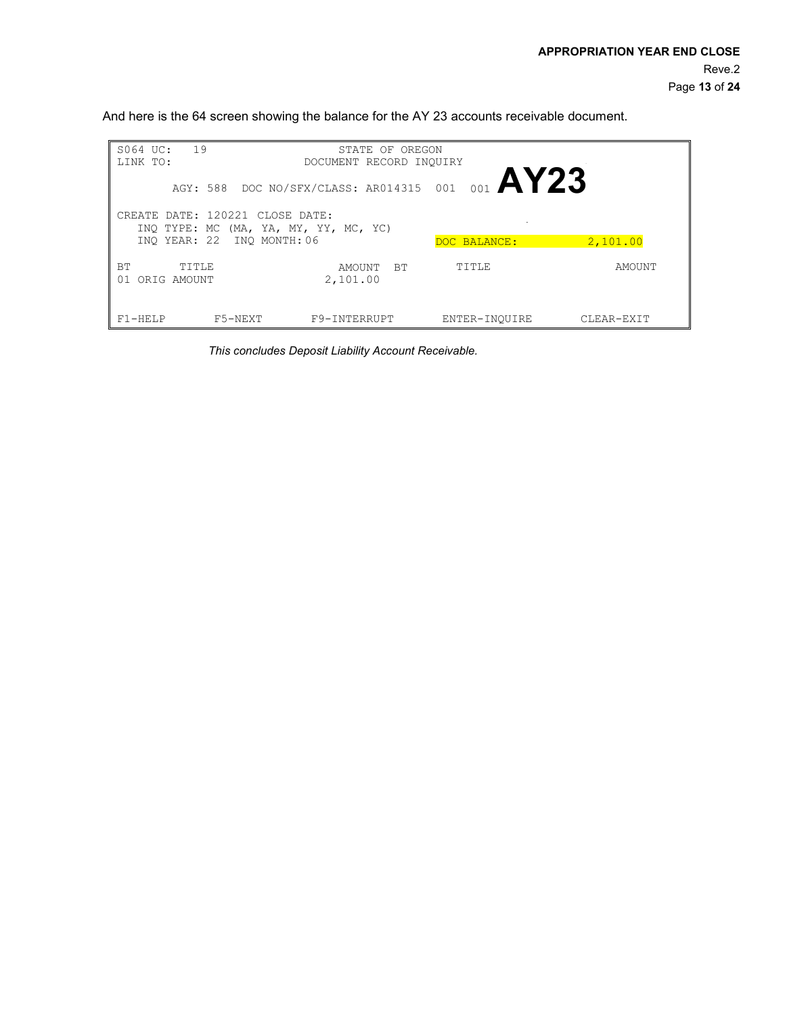And here is the 64 screen showing the balance for the AY 23 accounts receivable document.

| 19<br>S064 UC:                          | STATE OF OREGON                 |                 |            |
|-----------------------------------------|---------------------------------|-----------------|------------|
| LINK TO:                                | DOCUMENT RECORD INOUIRY         |                 |            |
| AGY: 588 DOC NO/SFX/CLASS: AR014315 001 |                                 | <b>OO1 AY23</b> |            |
| CREATE DATE: 120221 CLOSE DATE:         |                                 |                 |            |
| INQ TYPE: MC (MA, YA, MY, YY, MC, YC)   |                                 |                 |            |
| INO YEAR: 22 INO MONTH: 06              |                                 | DOC BALANCE:    | 2,101.00   |
| <b>BT</b><br>TITLE<br>ORIG AMOUNT<br>01 | <b>BT</b><br>AMOUNT<br>2,101.00 | TITLE           | AMOUNT     |
| F5-NEXT<br>$F1 - HELP$                  | F9-INTERRUPT                    | ENTER-INOUIRE   | CLEAR-EXIT |

*This concludes Deposit Liability Account Receivable.*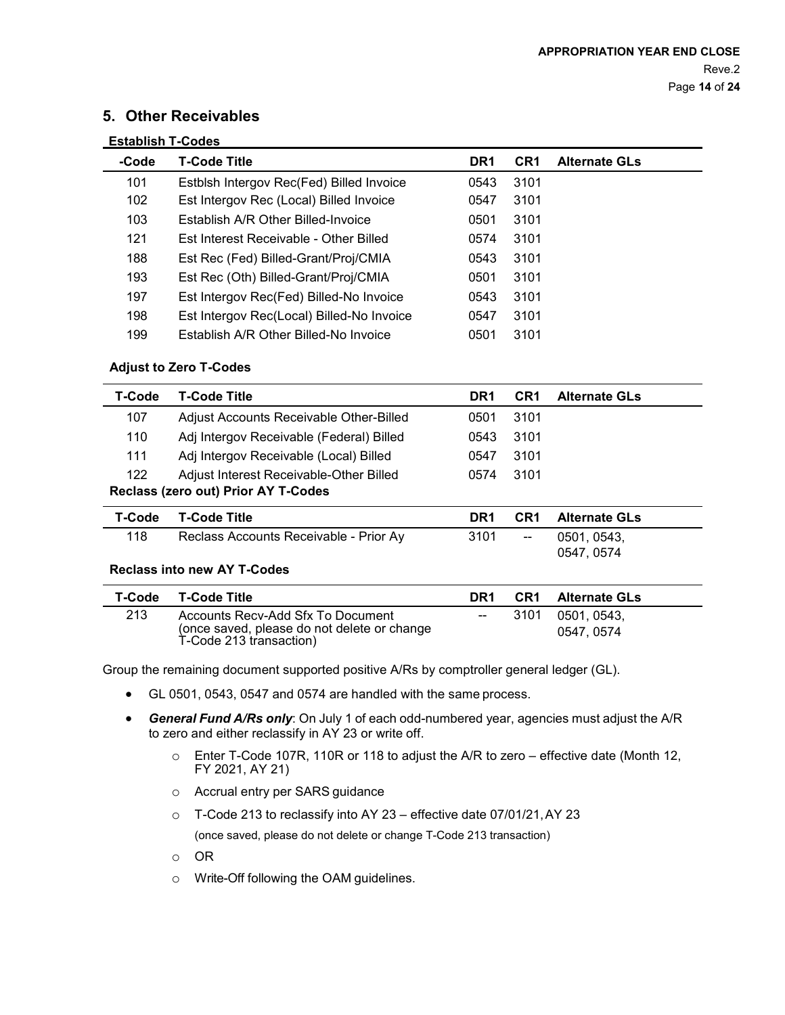# **5. Other Receivables**

| <b>Establish T-Codes</b> |                                           |                 |                 |                      |
|--------------------------|-------------------------------------------|-----------------|-----------------|----------------------|
| -Code                    | <b>T-Code Title</b>                       | DR <sub>1</sub> | CR <sub>1</sub> | <b>Alternate GLs</b> |
| 101                      | Estblsh Intergov Rec(Fed) Billed Invoice  | 0543            | 3101            |                      |
| 102                      | Est Intergov Rec (Local) Billed Invoice   | 0547            | 3101            |                      |
| 103                      | Establish A/R Other Billed-Invoice        | 0501            | 3101            |                      |
| 121                      | Est Interest Receivable - Other Billed    | 0574            | 3101            |                      |
| 188                      | Est Rec (Fed) Billed-Grant/Proj/CMIA      | 0543            | 3101            |                      |
| 193                      | Est Rec (Oth) Billed-Grant/Proj/CMIA      | 0501            | 3101            |                      |
| 197                      | Est Intergov Rec(Fed) Billed-No Invoice   | 0543            | 3101            |                      |
| 198                      | Est Intergov Rec(Local) Billed-No Invoice | 0547            | 3101            |                      |
| 199                      | Establish A/R Other Billed-No Invoice     | 0501            | 3101            |                      |

### **Adjust to Zero T-Codes**

| T-Code | T-Code Title                             | DR <sub>1</sub> | CR <sub>1</sub> | <b>Alternate GLs</b> |
|--------|------------------------------------------|-----------------|-----------------|----------------------|
| 107    | Adjust Accounts Receivable Other-Billed  | 0501            | 3101            |                      |
| 110    | Adj Intergov Receivable (Federal) Billed | 0543            | 3101            |                      |
| 111    | Adj Intergov Receivable (Local) Billed   | 0547            | 3101            |                      |
| 122    | Adjust Interest Receivable-Other Billed  | 0574            | 3101            |                      |
|        | Reclass (zero out) Prior AY T-Codes      |                 |                 |                      |
| T-Code | T-Code Title                             | DR <sub>1</sub> | CR <sub>1</sub> | <b>Alternate GLs</b> |
| 118    | Reclass Accounts Receivable - Prior Ay   | 3101            | $- -$           | 0501, 0543,          |
|        |                                          |                 |                 | 0547, 0574           |
|        | <b>Reclass into new AY T-Codes</b>       |                 |                 |                      |

|     | T-Code T-Code Title                                                                                         | DR1                      | <b>CR1</b> Alternate GLs        |
|-----|-------------------------------------------------------------------------------------------------------------|--------------------------|---------------------------------|
| 213 | Accounts Recv-Add Sfx To Document<br>(once saved, please do not delete or change<br>T-Code 213 transaction) | $\overline{\phantom{a}}$ | 3101  0501, 0543,<br>0547, 0574 |

Group the remaining document supported positive A/Rs by comptroller general ledger (GL).

- GL 0501, 0543, 0547 and 0574 are handled with the same process.
- *General Fund A/Rs only*: On July 1 of each odd-numbered year, agencies must adjust the A/R to zero and either reclassify in AY 23 or write off.
	- o Enter T-Code 107R, 110R or 118 to adjust the A/R to zero effective date (Month 12, FY 2021, AY 21)
	- o Accrual entry per SARS guidance
	- o T-Code 213 to reclassify into AY 23 effective date 07/01/21,AY 23 (once saved, please do not delete or change T-Code 213 transaction)
	- o OR
	- o Write-Off following the OAM guidelines.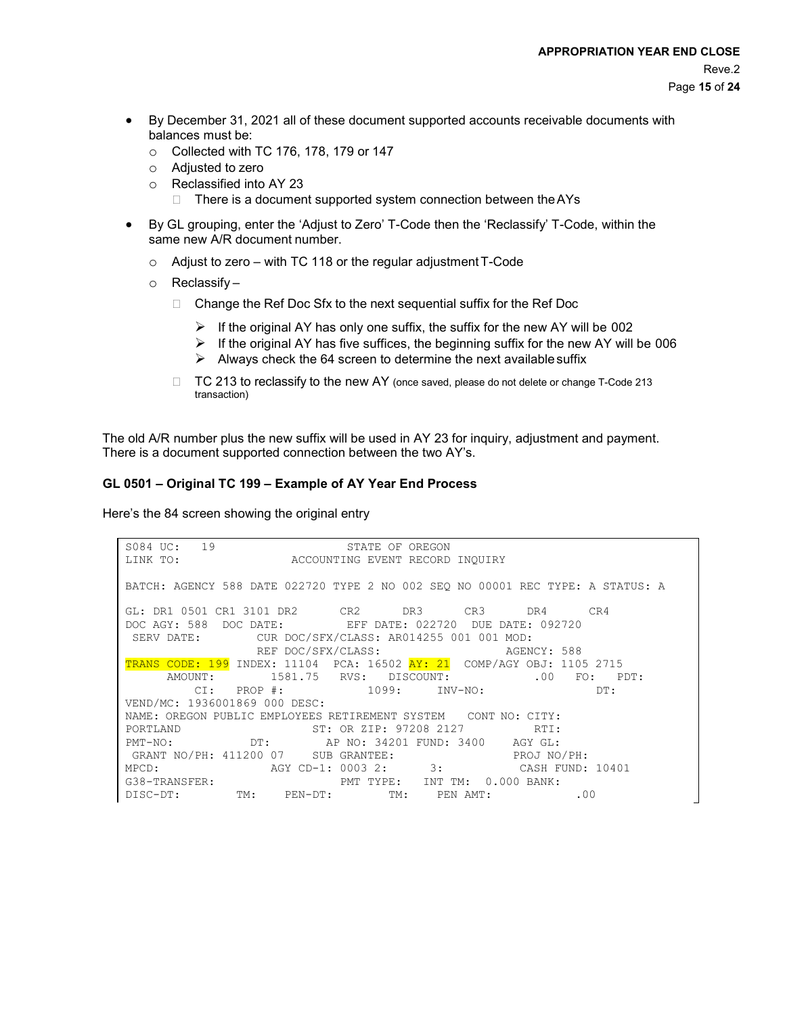- By December 31, 2021 all of these document supported accounts receivable documents with balances must be:
	- o Collected with TC 176, 178, 179 or 147
	- o Adjusted to zero
	- $\circ$  Reclassified into AY 23<br>There is a documer
		- There is a document supported system connection between theAYs
- By GL grouping, enter the 'Adjust to Zero' T-Code then the 'Reclassify' T-Code, within the same new A/R document number.
	- o Adjust to zero with TC 118 or the regular adjustmentT-Code
	- o Reclassify
		- $\Box$  Change the Ref Doc Sfx to the next sequential suffix for the Ref Doc
			- $\triangleright$  If the original AY has only one suffix, the suffix for the new AY will be 002
			- $\triangleright$  If the original AY has five suffices, the beginning suffix for the new AY will be 006
			- $\triangleright$  Always check the 64 screen to determine the next available suffix
		- $\Box$  TC 213 to reclassify to the new AY (once saved, please do not delete or change T-Code 213 transaction)

The old A/R number plus the new suffix will be used in AY 23 for inquiry, adjustment and payment. There is a document supported connection between the two AY's.

#### **GL 0501 – Original TC 199 – Example of AY Year End Process**

Here's the 84 screen showing the original entry

| S084 UC: 19<br>STATE OF OREGON                                                             |
|--------------------------------------------------------------------------------------------|
| LINK TO: ACCOUNTING EVENT RECORD INQUIRY                                                   |
|                                                                                            |
| BATCH: AGENCY 588 DATE 022720 TYPE 2 NO 002 SEO NO 00001 REC TYPE: A STATUS: A             |
|                                                                                            |
| GL: DR1 0501 CR1 3101 DR2 CR2 DR3 CR3 DR4 CR4                                              |
| DOC AGY: 588 DOC DATE: EFF DATE: 022720 DUE DATE: 092720                                   |
| SERV DATE: CUR DOC/SFX/CLASS: AR014255 001 001 MOD:                                        |
| REF DOC/SFX/CLASS: AGENCY: 588                                                             |
| TRANS CODE: 199 INDEX: 11104 PCA: 16502 AY: 21 COMP/AGY OBJ: 1105 2715                     |
| AMOUNT: 1581.75 RVS: DISCOUNT: 00 FO: PDT:                                                 |
| CI: PROP #: $1099$ : INV-NO: DT:                                                           |
| VEND/MC: 1936001869 000 DESC:                                                              |
| NAME: OREGON PUBLIC EMPLOYEES RETIREMENT SYSTEM CONT NO: CITY:                             |
| PORTLAND ST: OR ZIP: 97208 2127 RTI:                                                       |
| PMT-NO: DT: AP NO: 34201 FUND: 3400 AGY GL:                                                |
| GRANT NO/PH: 411200 07 SUB GRANTEE: PROJ NO/PH:                                            |
|                                                                                            |
| MPCD: AGY CD-1: 0003 2: 3: CASH FUND: 10401<br>G38-TRANSFER: PMT TYPE: INT TM: 0.000 BANK: |
| DISC-DT: TM: PEN-DT: TM: PEN AMT: .00                                                      |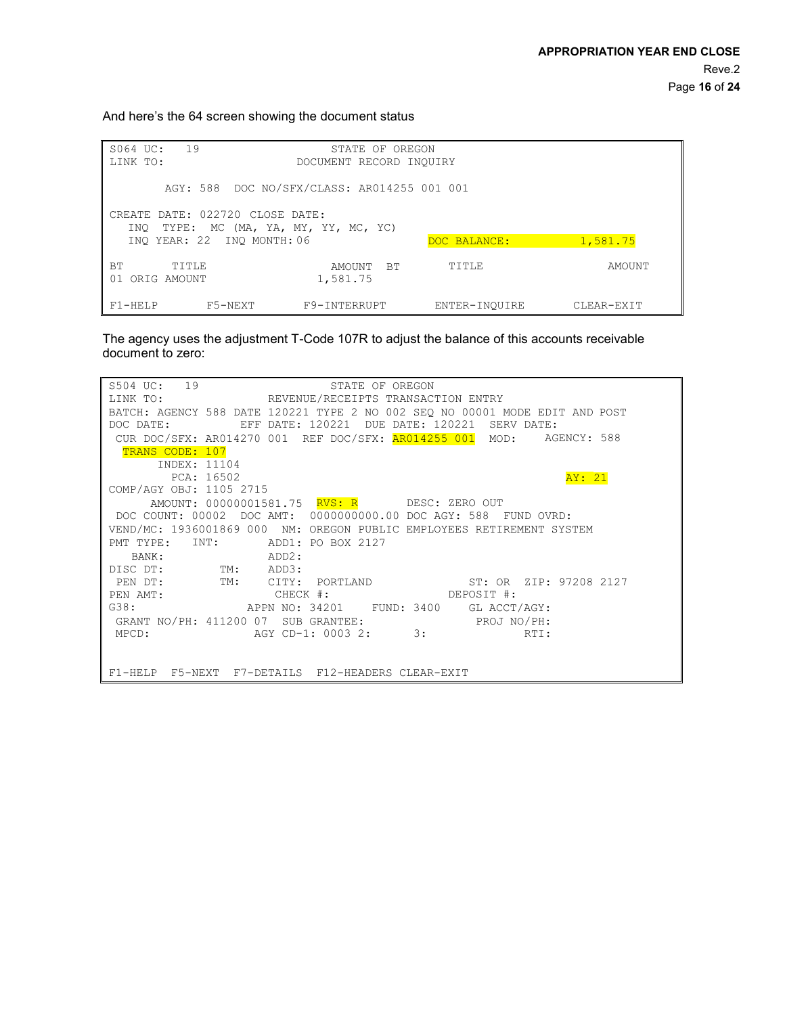And here's the 64 screen showing the document status

| 19<br>S064 UC:<br>STATE OF OREGON<br>LINK TO:<br>DOCUMENT RECORD INQUIRY |                                             |                                 |               |            |  |  |  |
|--------------------------------------------------------------------------|---------------------------------------------|---------------------------------|---------------|------------|--|--|--|
|                                                                          | AGY: 588 DOC NO/SFX/CLASS: AR014255 001 001 |                                 |               |            |  |  |  |
| CREATE DATE: 022720 CLOSE DATE:                                          | INO TYPE: MC (MA, YA, MY, YY, MC, YC)       |                                 |               |            |  |  |  |
|                                                                          | INO YEAR: 22 INO MONTH: 06                  |                                 | DOC BALANCE:  | 1,581.75   |  |  |  |
| <b>BT</b><br>TITLE<br>01<br>ORIG AMOUNT                                  |                                             | <b>BT</b><br>AMOUNT<br>1,581.75 | TITLE         | AMOUNT     |  |  |  |
| $F1 - HELP$                                                              | F5-NEXT                                     | F9-INTERRUPT                    | ENTER-INOUIRE | CLEAR-EXIT |  |  |  |

The agency uses the adjustment T-Code 107R to adjust the balance of this accounts receivable document to zero:

| S504 UC: 19<br>S504 UC: 19<br>LINK TO:             REVENUE/RECEIPTS TRANSACTION ENTRY |  |  |  |  |  |
|---------------------------------------------------------------------------------------|--|--|--|--|--|
|                                                                                       |  |  |  |  |  |
| BATCH: AGENCY 588 DATE 120221 TYPE 2 NO 002 SEQ NO 00001 MODE EDIT AND POST           |  |  |  |  |  |
| EFF DATE: 120221 DUE DATE: 120221 SERV DATE:<br>DOC DATE:                             |  |  |  |  |  |
| CUR DOC/SFX: AR014270 001 REF DOC/SFX: AR014255 001 MOD: AGENCY: 588                  |  |  |  |  |  |
| TRANS CODE: 107                                                                       |  |  |  |  |  |
| INDEX: 11104                                                                          |  |  |  |  |  |
| PCA: 16502<br>AY: 21                                                                  |  |  |  |  |  |
| COMP/AGY OBJ: 1105 2715                                                               |  |  |  |  |  |
| AMOUNT: 000000001581.75 RVS: R DESC: ZERO OUT                                         |  |  |  |  |  |
| DOC COUNT: 00002 DOC AMT: 0000000000.00 DOC AGY: 588 FUND OVRD:                       |  |  |  |  |  |
| VEND/MC: 1936001869 000 NM: OREGON PUBLIC EMPLOYEES RETIREMENT SYSTEM                 |  |  |  |  |  |
| PMT TYPE: INT:<br>ADD1: PO BOX 2127                                                   |  |  |  |  |  |
| ADD2:<br>BANK:                                                                        |  |  |  |  |  |
| DISC DT: TM: ADD3:                                                                    |  |  |  |  |  |
| PEN DT: TM: CITY: PORTLAND ST: OR ZIP: 97208 2127                                     |  |  |  |  |  |
| PEN AMT: CHECK #: DEPOSIT #:                                                          |  |  |  |  |  |
| G38: APPN NO: 34201 FUND: 3400 GL ACCT/AGY:                                           |  |  |  |  |  |
| GRANT NO/PH: 411200 07 SUB GRANTEE: PROJ NO/PH:                                       |  |  |  |  |  |
| MPCD: $AGY CD-1: 0003 2: 3: RTI:$                                                     |  |  |  |  |  |
|                                                                                       |  |  |  |  |  |
|                                                                                       |  |  |  |  |  |
| F1-HELP F5-NEXT F7-DETAILS F12-HEADERS CLEAR-EXIT                                     |  |  |  |  |  |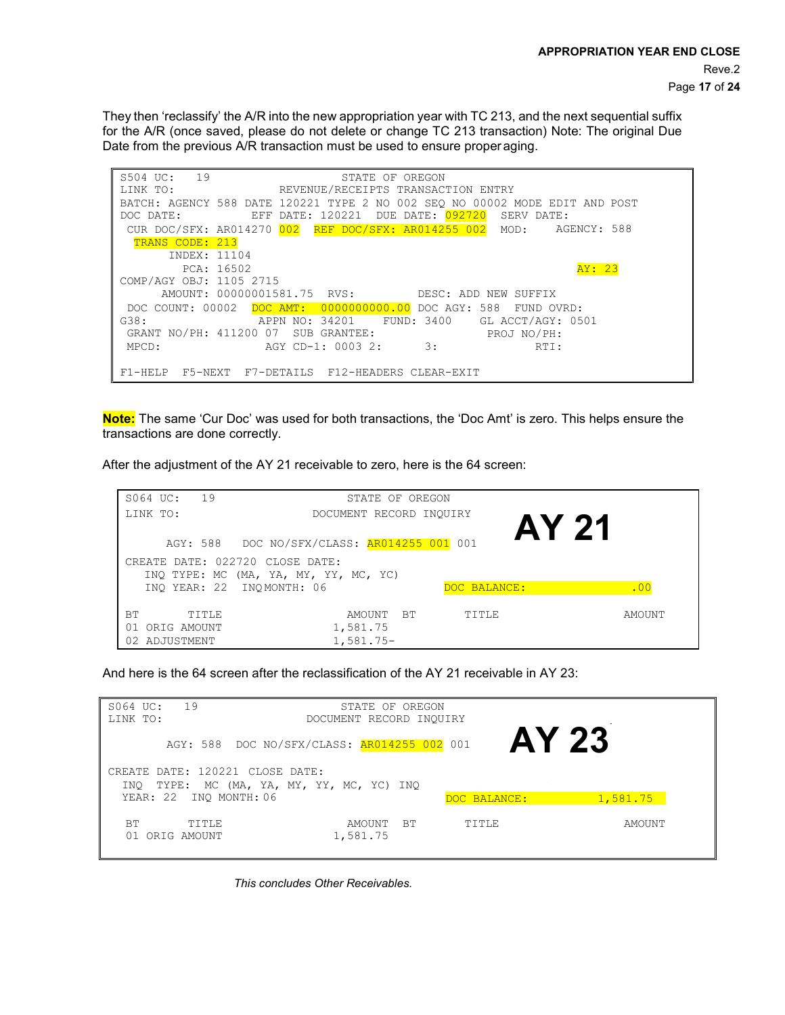They then 'reclassify' the A/R into the new appropriation year with TC 213, and the next sequential suffix for the A/R (once saved, please do not delete or change TC 213 transaction) Note: The original Due Date from the previous A/R transaction must be used to ensure proper aging.

| S504 UC: 19<br>STATE OF OREGON                                               |
|------------------------------------------------------------------------------|
| LINK TO: REVENUE/RECEIPTS TRANSACTION ENTRY                                  |
| BATCH: AGENCY 588 DATE 120221 TYPE 2 NO 002 SEO NO 00002 MODE EDIT AND POST  |
| DUE DATE: <mark>092720</mark><br>EFF DATE: 120221<br>SERV DATE:<br>DOC DATE: |
| CUR DOC/SFX: AR014270 002 REF DOC/SFX: AR014255 002 MOD: AGENCY: 588         |
| TRANS CODE: 213                                                              |
| INDEX: 11104                                                                 |
| AY: 23<br>PCA: 16502                                                         |
| COMP/AGY OBJ: 1105 2715                                                      |
| AMOUNT: 00000001581.75 RVS: DESC: ADD NEW SUFFIX                             |
| DOC COUNT: 00002 DOC AMT: 0000000000.00 DOC AGY: 588 FUND OVRD:              |
| G38:<br>APPN NO: 34201 FUND: 3400 GL ACCT/AGY: 0501                          |
| GRANT NO/PH: 411200 07 SUB GRANTEE:<br>PROJ NO/PH:                           |
| $\overline{\phantom{a}}$ 3:<br>AGY CD-1: 0003 2:<br>MPCD:<br>RTI:            |
|                                                                              |
| F5-NEXT F7-DETAILS F12-HEADERS CLEAR-EXIT<br>$F1 - HELP$                     |

**Note:** The same 'Cur Doc' was used for both transactions, the 'Doc Amt' is zero. This helps ensure the transactions are done correctly.

After the adjustment of the AY 21 receivable to zero, here is the 64 screen:

| 19<br>S064 UC:<br>LINK TO:                                                                    | STATE OF OREGON<br>DOCUMENT RECORD INQUIRY |
|-----------------------------------------------------------------------------------------------|--------------------------------------------|
| AGY: 588 DOC NO/SFX/CLASS: AR014255 001 001<br>CREATE DATE: 022720 CLOSE DATE:                | AY 21                                      |
| INQ TYPE: MC (MA, YA, MY, YY, MC, YC)<br>INO YEAR: 22 INOMONTH: 06                            | DOC BALANCE:<br>.00                        |
| <b>BT</b><br>TITLE<br>AMOUNT<br>1,581.75<br>ORIG AMOUNT<br>01<br>$1,581.75-$<br>02 ADJUSTMENT | TITLE<br><b>BT</b><br>AMOUNT               |

And here is the 64 screen after the reclassification of the AY 21 receivable in AY 23:

| 19<br>S064 UC:<br>LINK TO:                                  | STATE OF OREGON<br>DOCUMENT RECORD INQUIRY |              |          |  |  |
|-------------------------------------------------------------|--------------------------------------------|--------------|----------|--|--|
| <b>AY 23</b><br>AGY: 588 DOC NO/SFX/CLASS: AR014255 002 001 |                                            |              |          |  |  |
| CREATE DATE: 120221 CLOSE DATE:<br>INO                      | TYPE: MC (MA, YA, MY, YY, MC, YC) INQ      |              |          |  |  |
| YEAR: 22 INQ MONTH: 06                                      |                                            | DOC BALANCE: | 1,581.75 |  |  |
| <b>BT</b><br>TTTLE<br>01 ORIG AMOUNT                        | <b>BT</b><br>AMOUNT<br>1,581.75            | TITLE        | AMOUNT   |  |  |

*This concludes Other Receivables.*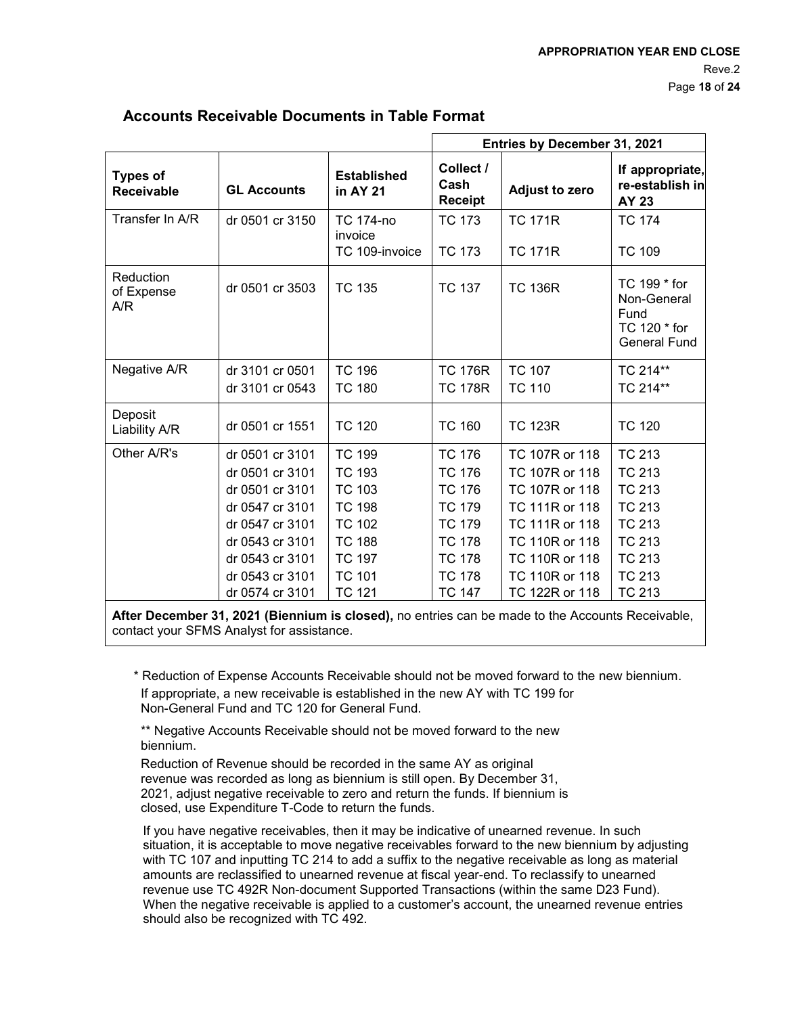|                                      |                                                                                                                                                                         |                                                                                                                                                       | Entries by December 31, 2021                                                                                                                          |                                                                                                                                                                |                                                                                                                                                       |
|--------------------------------------|-------------------------------------------------------------------------------------------------------------------------------------------------------------------------|-------------------------------------------------------------------------------------------------------------------------------------------------------|-------------------------------------------------------------------------------------------------------------------------------------------------------|----------------------------------------------------------------------------------------------------------------------------------------------------------------|-------------------------------------------------------------------------------------------------------------------------------------------------------|
| <b>Types of</b><br><b>Receivable</b> | <b>GL Accounts</b>                                                                                                                                                      | <b>Established</b><br>in AY 21                                                                                                                        | Collect /<br>Cash<br><b>Receipt</b>                                                                                                                   | <b>Adjust to zero</b>                                                                                                                                          | If appropriate,<br>re-establish in<br>AY 23                                                                                                           |
| Transfer In A/R                      | dr 0501 cr 3150                                                                                                                                                         | <b>TC 174-no</b><br>invoice<br>TC 109-invoice                                                                                                         | <b>TC 173</b><br>TC 173                                                                                                                               | <b>TC 171R</b><br><b>TC 171R</b>                                                                                                                               | <b>TC 174</b><br><b>TC 109</b>                                                                                                                        |
| Reduction<br>of Expense<br>A/R       | dr 0501 cr 3503                                                                                                                                                         | <b>TC 135</b>                                                                                                                                         | <b>TC 137</b>                                                                                                                                         | <b>TC 136R</b>                                                                                                                                                 | TC 199 * for<br>Non-General<br>Fund<br>TC 120 * for<br><b>General Fund</b>                                                                            |
| Negative A/R                         | dr 3101 cr 0501<br>dr 3101 cr 0543                                                                                                                                      | <b>TC 196</b><br><b>TC 180</b>                                                                                                                        | <b>TC 176R</b><br><b>TC 178R</b>                                                                                                                      | <b>TC 107</b><br><b>TC 110</b>                                                                                                                                 | TC 214**<br>TC 214**                                                                                                                                  |
| Deposit<br>Liability A/R             | dr 0501 cr 1551                                                                                                                                                         | <b>TC 120</b>                                                                                                                                         | <b>TC 160</b>                                                                                                                                         | <b>TC 123R</b>                                                                                                                                                 | <b>TC 120</b>                                                                                                                                         |
| Other A/R's                          | dr 0501 cr 3101<br>dr 0501 cr 3101<br>dr 0501 cr 3101<br>dr 0547 cr 3101<br>dr 0547 cr 3101<br>dr 0543 cr 3101<br>dr 0543 cr 3101<br>dr 0543 cr 3101<br>dr 0574 cr 3101 | <b>TC 199</b><br><b>TC 193</b><br><b>TC 103</b><br><b>TC 198</b><br><b>TC 102</b><br><b>TC 188</b><br><b>TC 197</b><br><b>TC 101</b><br><b>TC 121</b> | <b>TC 176</b><br><b>TC 176</b><br><b>TC 176</b><br><b>TC 179</b><br><b>TC 179</b><br><b>TC 178</b><br><b>TC 178</b><br><b>TC 178</b><br><b>TC 147</b> | TC 107R or 118<br>TC 107R or 118<br>TC 107R or 118<br>TC 111R or 118<br>TC 111R or 118<br>TC 110R or 118<br>TC 110R or 118<br>TC 110R or 118<br>TC 122R or 118 | <b>TC 213</b><br><b>TC 213</b><br><b>TC 213</b><br><b>TC 213</b><br><b>TC 213</b><br><b>TC 213</b><br><b>TC 213</b><br><b>TC 213</b><br><b>TC 213</b> |

# **Accounts Receivable Documents in Table Format**

**After December 31, 2021 (Biennium is closed),** no entries can be made to the Accounts Receivable, contact your SFMS Analyst for assistance.

\* Reduction of Expense Accounts Receivable should not be moved forward to the new biennium. If appropriate, a new receivable is established in the new AY with TC 199 for Non-General Fund and TC 120 for General Fund.

\*\* Negative Accounts Receivable should not be moved forward to the new biennium.

Reduction of Revenue should be recorded in the same AY as original revenue was recorded as long as biennium is still open. By December 31, 2021, adjust negative receivable to zero and return the funds. If biennium is closed, use Expenditure T-Code to return the funds.

If you have negative receivables, then it may be indicative of unearned revenue. In such situation, it is acceptable to move negative receivables forward to the new biennium by adjusting with TC 107 and inputting TC 214 to add a suffix to the negative receivable as long as material amounts are reclassified to unearned revenue at fiscal year-end. To reclassify to unearned revenue use TC 492R Non-document Supported Transactions (within the same D23 Fund). When the negative receivable is applied to a customer's account, the unearned revenue entries should also be recognized with TC 492.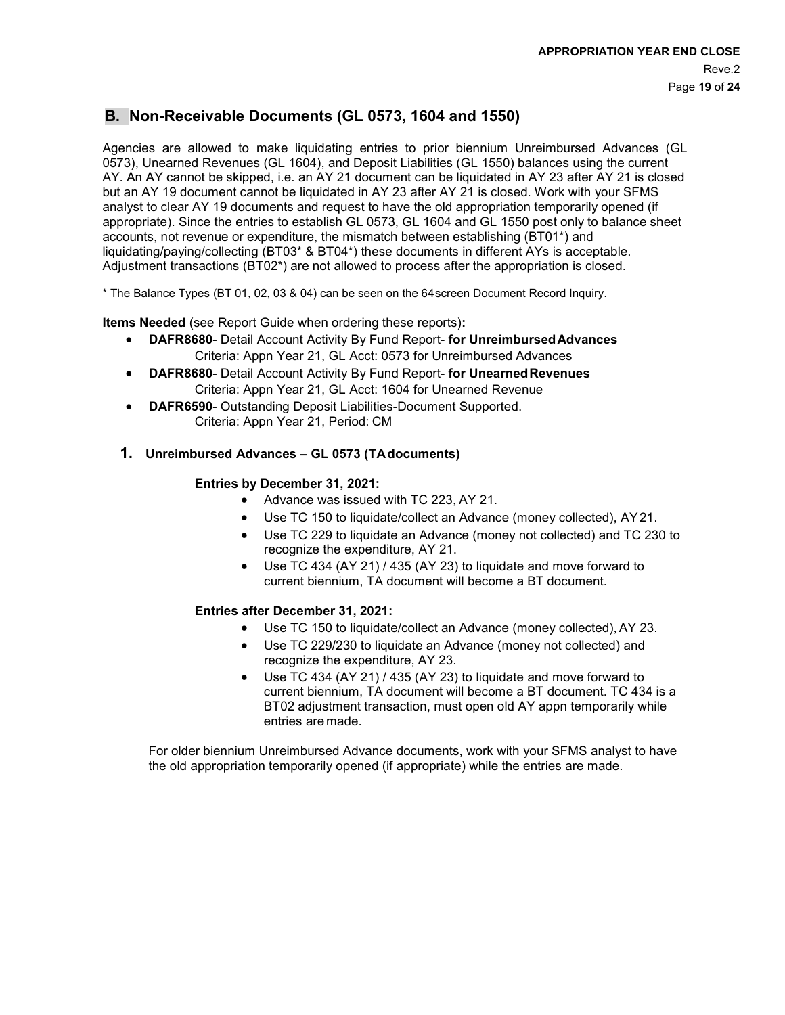# **B. Non-Receivable Documents (GL 0573, 1604 and 1550)**

Agencies are allowed to make liquidating entries to prior biennium Unreimbursed Advances (GL 0573), Unearned Revenues (GL 1604), and Deposit Liabilities (GL 1550) balances using the current AY. An AY cannot be skipped, i.e. an AY 21 document can be liquidated in AY 23 after AY 21 is closed but an AY 19 document cannot be liquidated in AY 23 after AY 21 is closed. Work with your SFMS analyst to clear AY 19 documents and request to have the old appropriation temporarily opened (if appropriate). Since the entries to establish GL 0573, GL 1604 and GL 1550 post only to balance sheet accounts, not revenue or expenditure, the mismatch between establishing (BT01\*) and liquidating/paying/collecting (BT03\* & BT04\*) these documents in different AYs is acceptable. Adjustment transactions (BT02\*) are not allowed to process after the appropriation is closed.

\* The Balance Types (BT 01, 02, 03 & 04) can be seen on the 64screen Document Record Inquiry.

**Items Needed** (see Report Guide when ordering these reports)**:**

- **DAFR8680** Detail Account Activity By Fund Report- **for UnreimbursedAdvances** Criteria: Appn Year 21, GL Acct: 0573 for Unreimbursed Advances
- **DAFR8680** Detail Account Activity By Fund Report- **for UnearnedRevenues** Criteria: Appn Year 21, GL Acct: 1604 for Unearned Revenue
- **DAFR6590** Outstanding Deposit Liabilities-Document Supported. Criteria: Appn Year 21, Period: CM

## **1. Unreimbursed Advances – GL 0573 (TAdocuments)**

### **Entries by December 31, 2021:**

- Advance was issued with TC 223, AY 21.
- Use TC 150 to liquidate/collect an Advance (money collected), AY21.
- Use TC 229 to liquidate an Advance (money not collected) and TC 230 to recognize the expenditure, AY 21.
- Use TC 434 (AY 21) / 435 (AY 23) to liquidate and move forward to current biennium, TA document will become a BT document.

### **Entries after December 31, 2021:**

- Use TC 150 to liquidate/collect an Advance (money collected), AY 23.
- Use TC 229/230 to liquidate an Advance (money not collected) and recognize the expenditure, AY 23.
- Use TC 434 (AY 21) / 435 (AY 23) to liquidate and move forward to current biennium, TA document will become a BT document. TC 434 is a BT02 adjustment transaction, must open old AY appn temporarily while entries are made.

For older biennium Unreimbursed Advance documents, work with your SFMS analyst to have the old appropriation temporarily opened (if appropriate) while the entries are made.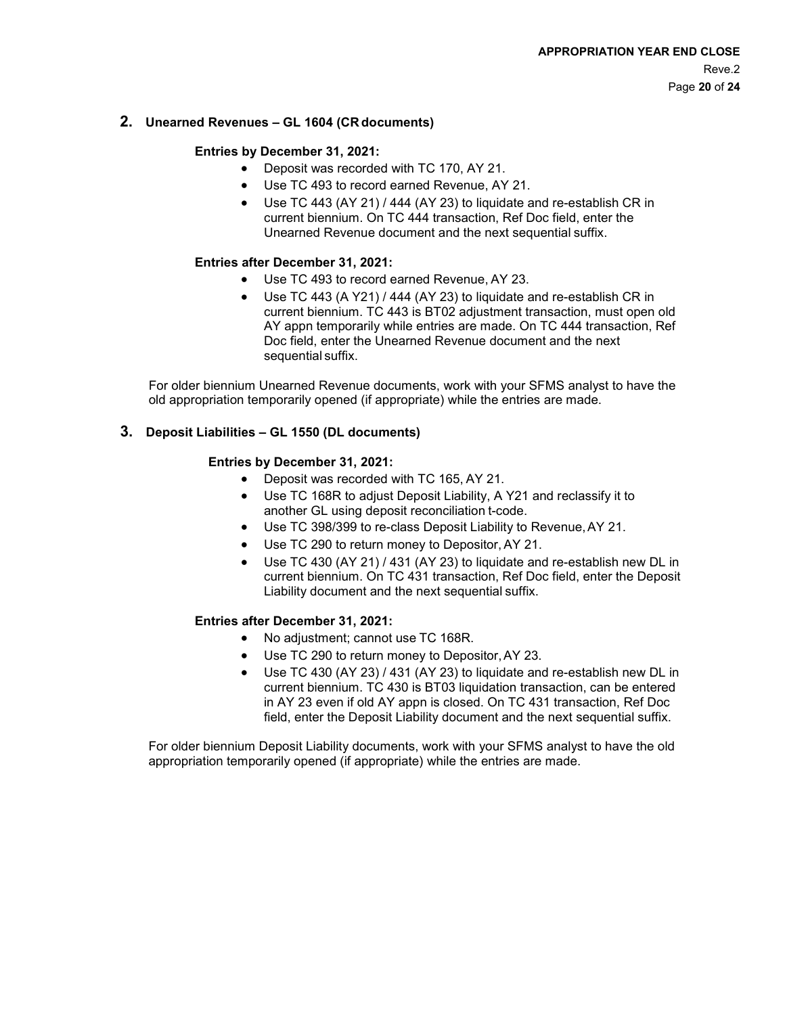#### **2. Unearned Revenues – GL 1604 (CR documents)**

#### **Entries by December 31, 2021:**

- Deposit was recorded with TC 170, AY 21.
- Use TC 493 to record earned Revenue, AY 21.
- Use TC 443 (AY 21) / 444 (AY 23) to liquidate and re-establish CR in current biennium. On TC 444 transaction, Ref Doc field, enter the Unearned Revenue document and the next sequential suffix.

#### **Entries after December 31, 2021:**

- Use TC 493 to record earned Revenue, AY 23.
- Use TC 443 (A Y21) / 444 (AY 23) to liquidate and re-establish CR in current biennium. TC 443 is BT02 adjustment transaction, must open old AY appn temporarily while entries are made. On TC 444 transaction, Ref Doc field, enter the Unearned Revenue document and the next sequential suffix.

For older biennium Unearned Revenue documents, work with your SFMS analyst to have the old appropriation temporarily opened (if appropriate) while the entries are made.

#### **3. Deposit Liabilities – GL 1550 (DL documents)**

#### **Entries by December 31, 2021:**

- Deposit was recorded with TC 165, AY 21.
- Use TC 168R to adjust Deposit Liability, A Y21 and reclassify it to another GL using deposit reconciliation t-code.
- Use TC 398/399 to re-class Deposit Liability to Revenue,AY 21.
- Use TC 290 to return money to Depositor,AY 21.
- Use TC 430 (AY 21) / 431 (AY 23) to liquidate and re-establish new DL in current biennium. On TC 431 transaction, Ref Doc field, enter the Deposit Liability document and the next sequential suffix.

#### **Entries after December 31, 2021:**

- No adjustment; cannot use TC 168R.
- Use TC 290 to return money to Depositor,AY 23.
- Use TC 430 (AY 23) / 431 (AY 23) to liquidate and re-establish new DL in current biennium. TC 430 is BT03 liquidation transaction, can be entered in AY 23 even if old AY appn is closed. On TC 431 transaction, Ref Doc field, enter the Deposit Liability document and the next sequential suffix.

For older biennium Deposit Liability documents, work with your SFMS analyst to have the old appropriation temporarily opened (if appropriate) while the entries are made.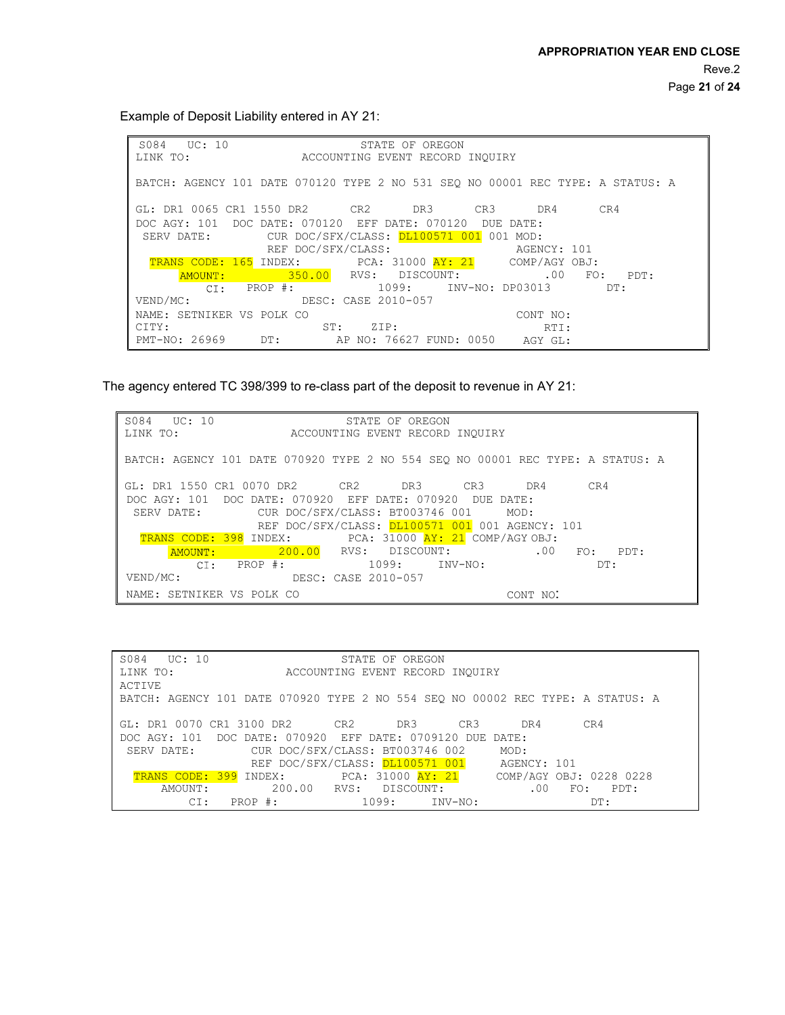Example of Deposit Liability entered in AY 21:

S084 UC: 10 LINK TO: STATE OF OREGON ACCOUNTING EVENT RECORD INQUIRY BATCH: AGENCY 101 DATE 070120 TYPE 2 NO 531 SEQ NO 00001 REC TYPE: A STATUS: A GL: DR1 0065 CR1 1550 DR2 CR2 DR3 CR3 DR4 CR4 DOC AGY: 101 DOC DATE: 070120 EFF DATE: 070120 DUE DATE:<br>SERV DATE: CUR DOC/SFX/CLASS: DL100571 001 001 MOD: CUR DOC/SFX/CLASS: DL100571 001 001 MOD:<br>REF DOC/SFX/CLASS: AGENCY: 101 REF DOC/SFX/CLASS: AGENCY: 101 TRANS CODE: 165 INDEX: PCA: 31000 AY: 21 VEND/MC: <mark>350.00</mark> PROP #: RVS: DISCOUNT: COMP/AGY OBJ: .00 FO: 1099: INV-NO: DP03013 PDT: DT: DESC: CASE 2010-057 NAME: SETNIKER VS POLK CO<br>CITY: CITY:  $\begin{array}{ccccc} \text{CITY:} & & \text{ST:} & \text{ZIP:} \\ \text{PMT-NO:} & 26969 & & \text{DT:} & \text{AP NO: } 760 \end{array}$ AP NO: 76627 FUND: 0050 CONT NO: RTI: AGY GL:

The agency entered TC 398/399 to re-class part of the deposit to revenue in AY 21:

DOC AGY: 101 DOC DATE: 070920 EFF DATE: 070920 DUE DATE:<br>SERV DATE: CUR DOC/SFX/CLASS: BT003746 001 MOD: CUR DOC/SFX/CLASS: BT003746 001 REF DOC/SFX/CLASS: DL100571 001 001 AGENCY: 101 TRANS CODE: 398 INDEX: PCA: 31000 AY: 21 COMP/AGY OBJ:<br>AMOUNT: 200.00 RVS: DISCOUNT: .00 VEND/MC: <mark>200.00</mark> RVS: DISCOUNT: .00 CI: PROP #: 1099: 1099: INV-NO: DT: FO: PDT:<br>DT: DESC: CASE 2010-057 NAME: SETNIKER VS POLK CO CONT NONE CONT NO. S084 UC: 10 LINK TO: STATE OF OREGON ACCOUNTING EVENT RECORD INQUIRY BATCH: AGENCY 101 DATE 070920 TYPE 2 NO 554 SEQ NO 00001 REC TYPE: A STATUS: A GL: DR1 1550 CR1 0070 DR2 CR2 DR3 CR3 DR4 CR4

| S084 UC: 10                                                                    |                                                                  | STATE OF OREGON                 |                     |  |
|--------------------------------------------------------------------------------|------------------------------------------------------------------|---------------------------------|---------------------|--|
| LINK TO:                                                                       |                                                                  | ACCOUNTING EVENT RECORD INQUIRY |                     |  |
| <b>ACTIVE</b>                                                                  |                                                                  |                                 |                     |  |
| BATCH: AGENCY 101 DATE 070920 TYPE 2 NO 554 SEO NO 00002 REC TYPE: A STATUS: A |                                                                  |                                 |                     |  |
|                                                                                |                                                                  |                                 |                     |  |
| GL: DR1 0070 CR1 3100 DR2 CR2                                                  |                                                                  | DR3<br>CR3                      | DR4<br>CR4          |  |
| DOC AGY: 101 DOC DATE: 070920 EFF DATE: 0709120 DUE DATE:                      |                                                                  |                                 |                     |  |
| SERV DATE:                                                                     | CUR DOC/SFX/CLASS: BT003746 002                                  |                                 | MOD:                |  |
|                                                                                | REF DOC/SFX/CLASS: DL100571 001 AGENCY: 101                      |                                 |                     |  |
|                                                                                | TRANS CODE: 399 INDEX: PCA: 31000 AY: 21 COMP/AGY OBJ: 0228 0228 |                                 |                     |  |
| AMOUNT:                                                                        | 200.00 RVS: DISCOUNT:                                            |                                 | .00.<br>FO:<br>PDT: |  |
| CI:<br>PROP #:                                                                 |                                                                  | $1099:$ $INV-NO:$               | DT:                 |  |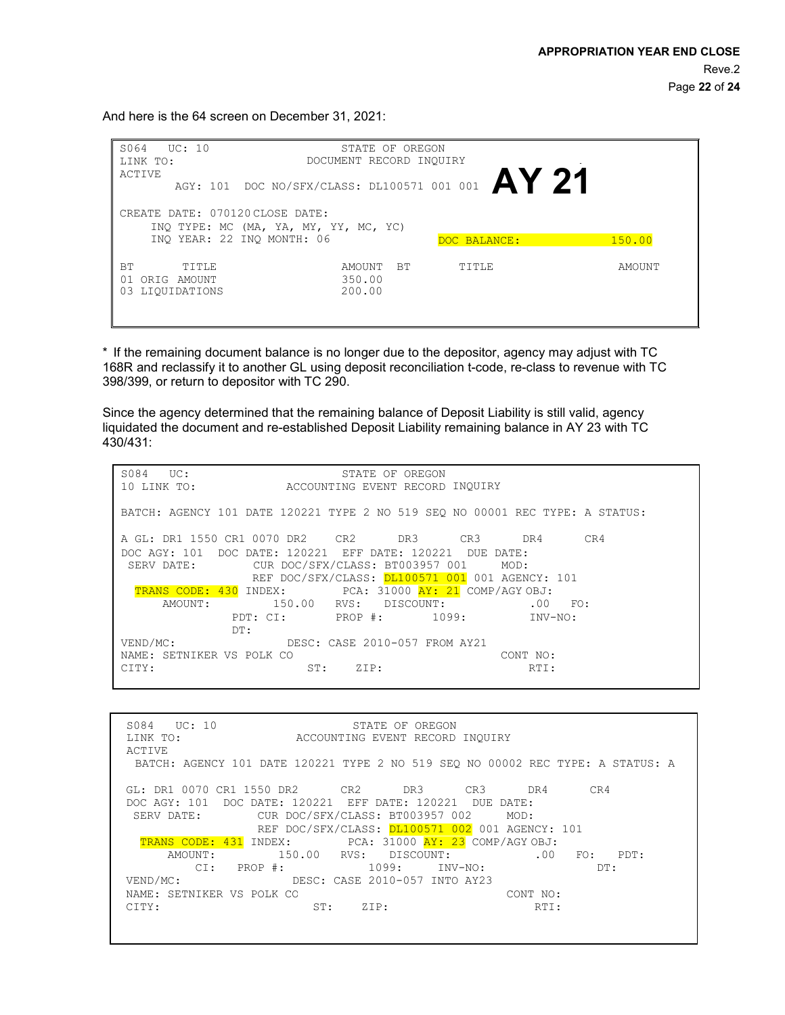And here is the 64 screen on December 31, 2021:

| UC: 10<br>S064<br>LINK TO:<br>ACTIVE                             | STATE OF OREGON<br>DOCUMENT RECORD INQUIRY                          |              |        |
|------------------------------------------------------------------|---------------------------------------------------------------------|--------------|--------|
|                                                                  | AGY: 101 DOC NO/SFX/CLASS: DL100571 001 001 $AY$ 21                 |              |        |
| CREATE DATE: 070120 CLOSE DATE:                                  | INQ TYPE: MC (MA, YA, MY, YY, MC, YC)<br>INO YEAR: 22 INO MONTH: 06 | DOC BALANCE: | 150.00 |
| <b>BT</b><br>TITLE<br>01<br>AMOUNT<br>ORIG<br>LIOUIDATIONS<br>03 | <b>BT</b><br>AMOUNT<br>350.00<br>200.00                             | TITLE        | AMOUNT |

\* If the remaining document balance is no longer due to the depositor, agency may adjust with TC 168R and reclassify it to another GL using deposit reconciliation t-code, re-class to revenue with TC 398/399, or return to depositor with TC 290.

Since the agency determined that the remaining balance of Deposit Liability is still valid, agency liquidated the document and re-established Deposit Liability remaining balance in AY 23 with TC 430/431:

S084 UC: 10 LINK TO: STATE OF OREGON ACCOUNTING EVENT RECORD INQUIRY BATCH: AGENCY 101 DATE 120221 TYPE 2 NO 519 SEQ NO 00001 REC TYPE: A STATUS: A GL: DR1 1550 CR1 0070 DR2 CR2 DR3 CR3 DR4 CR4 DOC AGY: 101 DOC DATE: 120221 EFF DATE: 120221 DUE DATE:<br>SERV DATE: CUR DOC/SFX/CLASS: BT003957 001 MOD: SERV DATE: CUR DOC/SFX/CLASS: BT003957 001 REF DOC/SFX/CLASS: 0L100571 001 001 AGENCY: 101 TRANS CODE: 430 INDEX: PCA: 31000 AY: 21 COMP/AGY OBJ:<br>AMOUNT: 150.00 RVS: DISCOUNT: 00 AMOUNT: 150.00 RVS: DISCOUNT: .00 FO:<br>PDT: CI: PROP #: 1099: INV-NO: PDT: CI: PROP #: DT: VEND/MC: DESC: CASE 2010-057 FROM AY21 NAME: SETNIKER VS POLK CO CITY: ST: ZIP: CONT NO: RTI:

| S084 UC: 10<br>STATE OF OREGON<br>LINK TO:<br>ACCOUNTING EVENT RECORD INOUIRY<br>ACTIVE |
|-----------------------------------------------------------------------------------------|
| BATCH: AGENCY 101 DATE 120221 TYPE 2 NO 519 SEO NO 00002 REC TYPE: A STATUS: A          |
| GL: DR1 0070 CR1 1550 DR2 CR2 DR3 CR3 DR4<br>CR4                                        |
| DOC AGY: 101 DOC DATE: 120221 EFF DATE: 120221 DUE DATE:                                |
| CUR DOC/SFX/CLASS: BT003957 002<br>SERV DATE:<br>MOD:                                   |
| REF DOC/SFX/CLASS: DL100571 002 001 AGENCY: 101                                         |
| TRANS CODE: 431 INDEX: PCA: 31000 AY: 23 COMP/AGY OBJ:                                  |
| 150.00 RVS: DISCOUNT:<br>.00<br>AMOUNT:<br>FO: PDT:                                     |
| $CI: PROP$ #: $1099: INV-NO:$<br>DT:                                                    |
| VEND/MC:<br>DESC: CASE 2010-057 INTO AY23                                               |
| NAME: SETNIKER VS POLK CO<br>CONT NO:                                                   |
| CITY:<br>ST:<br>RTI:<br>ZIP:                                                            |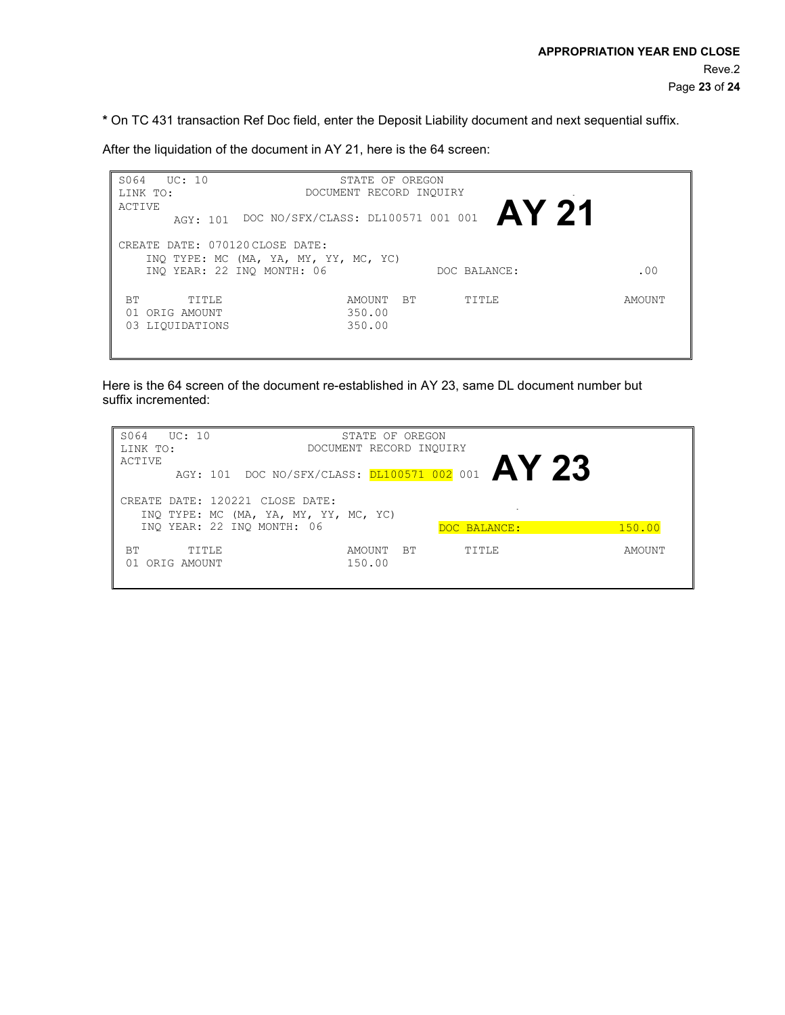**\*** On TC 431 transaction Ref Doc field, enter the Deposit Liability document and next sequential suffix.

After the liquidation of the document in AY 21, here is the 64 screen:

S064 UC: 10 LINK TO: ACTIVE AGY: 101 DOC NO/SFX/CLASS: DL100571 001 001 **AY 21** STATE OF OREGON DOCUMENT RECORD INQUIRY CREATE DATE: 070120 CLOSE DATE: INQ TYPE: MC (MA, YA, MY, YY, MC, YC) INQ YEAR: 22 INQ MONTH: 06 DOC BALANCE: . .00 BT TITLE AMOUNT BT TITLE AMOUNT OI ORIGAMOUNT 01 ORIGAMOUNT 350.00 01 ORIG AMOUNT 350.00<br>03 LIQUIDATIONS 350.00 03 LIQUIDATIONS

Here is the 64 screen of the document re-established in AY 23, same DL document number but suffix incremented:

| S064<br>UC: 10<br>LINK TO:<br>ACTIVE                                                   | STATE OF OREGON<br>DOCUMENT RECORD INOUIRY |              |        |
|----------------------------------------------------------------------------------------|--------------------------------------------|--------------|--------|
| AGY: 101 DOC NO/SFX/CLASS: $D1100571002001$ $AY$ 23<br>CREATE DATE: 120221 CLOSE DATE: |                                            |              |        |
| INQ TYPE: MC (MA, YA, MY, YY, MC, YC)<br>INO YEAR: 22 INO MONTH: 06                    |                                            | DOC BALANCE: | 150.00 |
| <b>BT</b><br>TITLE<br>ORIG AMOUNT<br>01                                                | BT<br>AMOUNT<br>150.00                     | TITLE        | AMOUNT |